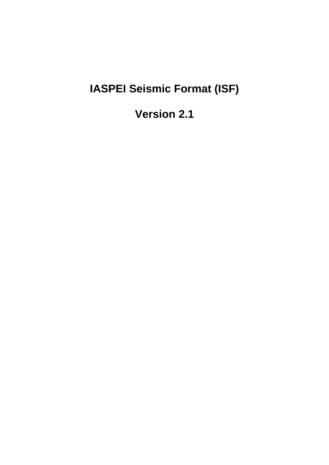# **IASPEI Seismic Format (ISF)**

**Version 2.1**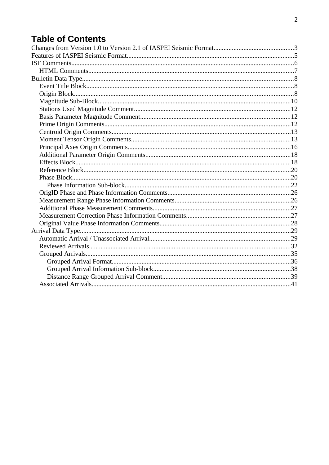## **Table of Contents**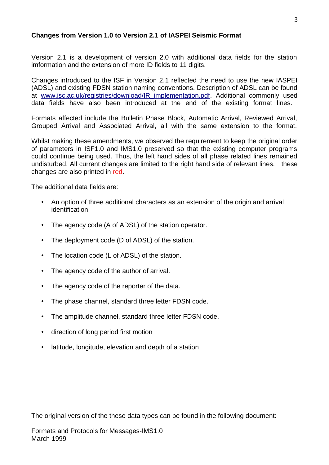### <span id="page-2-0"></span>**Changes from Version 1.0 to Version 2.1 of IASPEI Seismic Format**

Version 2.1 is a development of version 2.0 with additional data fields for the station imformation and the extension of more ID fields to 11 digits.

Changes introduced to the ISF in Version 2.1 reflected the need to use the new IASPEI (ADSL) and existing FDSN station naming conventions. Description of ADSL can be found at [www.isc.ac.uk/registries/download/IR\\_implementation.pdf](http://www.isc.ac.uk/registries/download/IR_implementation.pdf). Additional commonly used data fields have also been introduced at the end of the existing format lines.

Formats affected include the Bulletin Phase Block, Automatic Arrival, Reviewed Arrival, Grouped Arrival and Associated Arrival, all with the same extension to the format.

Whilst making these amendments, we observed the requirement to keep the original order of parameters in ISF1.0 and IMS1.0 preserved so that the existing computer programs could continue being used. Thus, the left hand sides of all phase related lines remained undisturbed. All current changes are limited to the right hand side of relevant lines, these changes are also printed in red.

The additional data fields are:

- An option of three additional characters as an extension of the origin and arrival identification.
- The agency code (A of ADSL) of the station operator.
- The deployment code (D of ADSL) of the station.
- The location code (L of ADSL) of the station.
- The agency code of the author of arrival.
- The agency code of the reporter of the data.
- The phase channel, standard three letter FDSN code.
- The amplitude channel, standard three letter FDSN code.
- direction of long period first motion
- latitude, longitude, elevation and depth of a station

The original version of the these data types can be found in the following document: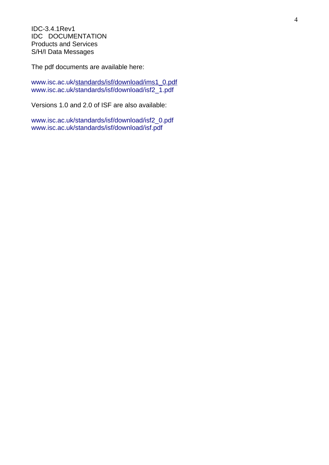IDC-3.4.1Rev1 IDC DOCUMENTATION Products and Services S/H/I Data Messages

The pdf documents are available here:

[www.isc.ac.uk/standards/isf/download/ims1\\_0.pdf](http://www.isc.ac.uk/standards/isf/download/ims1_0.pdf) [www.isc.ac.uk/standards/isf/download/isf2\\_1.pdf](http://www.isc.ac.uk/standards/isf/download/isf2_0.pdf)

Versions 1.0 and 2.0 of ISF are also available:

[www.isc.ac.uk/standards/isf/download/isf2\\_0.pdf](http://www.isc.ac.uk/standards/isf/download/isf2_0.pdf) [www.isc.ac.uk/standards/isf/download/isf.pdf](http://www.isc.ac.uk/standards/isf/download/isf.pdf)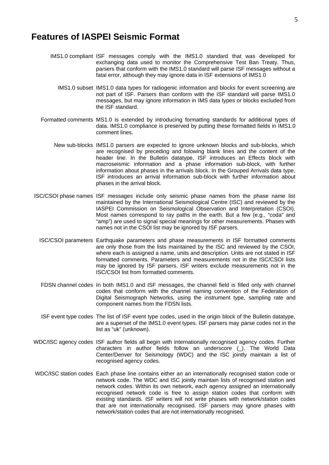### <span id="page-4-0"></span>**Features of IASPEI Seismic Format**

- IMS1.0 compliant ISF messages comply with the IMS1.0 standard that was developed for exchanging data used to monitor the Comprehensive Test Ban Treaty. Thus, parsers that conform with the IMS1.0 standard will parse ISF messages without a fatal error, although they may ignore data in ISF extensions of IMS1.0
	- IMS1.0 subset IMS1.0 data types for radiogenic information and blocks for event screening are not part of ISF. Parsers than conform with the ISF standard will parse IMS1.0 messages, but may ignore information in IMS data types or blocks excluded from the ISF standard.
- Formatted comments MS1.0 is extended by introducing formatting standards for additional types of data. IMS1.0 compliance is preserved by putting these formatted fields in IMS1.0 comment lines.
	- New sub-blocks IMS1.0 parsers are expected to ignore unknown blocks and sub-blocks, which are recognised by preceding and folowing blank lines and the content of the header line. In the Bulletin datatype, ISF introduces an Effects block with macroseismic information and a phase information sub-block, with further information about phases in the arrivals block. In the Grouped Arrivals data type, ISF introduces an arrival information sub-block with further information about phases in the arrival block.
- ISC/CSOI phase names ISF messages include only seismic phase names from the phase name list maintained by the International Seismological Centre (ISC) and reviewed by the IASPEI Commission on Seismological Observation and Interpretation (CSOI). Most names correspond to ray paths in the earth. But a few (e.g., "coda" and "amp") are used to signal special meanings for other measurements. Phases with names not in the CSOI list may be ignored by ISF parsers.
	- ISC/CSOI parameters Earthquake parameters and phase measurements in ISF formatted comments are only those from the lists maintained by the ISC and reviewed by the CSOI, where each is assigned a name, units and description. Units are not stated in ISF formatted comments. Parameters and measurements not in the ISC/CSOI lists may be ignored by ISF parsers. ISF writers exclude measurements not in the ISC/CSOI list from formatted comments.
	- FDSN channel codes In both IMS1.0 and ISF messages, the channel field is filled only with channel codes that conform with the channel naming convention of the Federation of Digital Seismograph Networks, using the instrument type, sampling rate and component names from the FDSN lists.
	- ISF event type codes The list of ISF event type codes, used in the origin block of the Bulletin datatype, are a superset of the IMS1.0 event types. ISF parsers may parse codes not in the list as "uk" (unknown).
- WDC/ISC agency codes ISF author fields all begin with internationally recognised agency codes. Further characters in author fields follow an underscore (). The World Data Center/Denver for Seismology (WDC) and the ISC jointly maintain a list of recognised agency codes.
- WDC/ISC station codes Each phase line contains either an an internationally recognised station code or network code. The WDC and ISC jointly maintain lists of recognised station and network codes. Within its own network, each agency assigned an internationally recognised network code is free to assign station codes that conform with existing standards. ISF writers will not write phases with network/station codes that are not internationally recognised. ISF parsers may ignore phases with network/station codes that are not internationally recognised.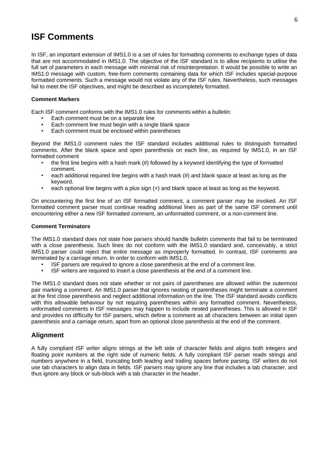### <span id="page-5-0"></span>**ISF Comments**

In ISF, an important extension of IMS1.0 is a set of rules for formatting comments to exchange types of data that are not accommodated in IMS1.0. The objective of the ISF standard is to allow recipients to utilise the full set of parameters in each message with minimal risk of misinterpretation. It would be possible to write an IMS1.0 message with custom, free-form comments containing data for which ISF includes special-purpose formatted comments. Such a message would not violate any of the ISF rules. Nevertheless, such messages fail to meet the ISF objectives, and might be described as incompletely formatted.

#### **Comment Markers**

Each ISF comment conforms with the IMS1.0 rules for comments within a bulletin:

- Each comment must be on a separate line
- Each comment line must begin with a single blank space<br>• Fach comment must be enclosed within parentheses
- Each comment must be enclosed within parentheses

Beyond the IMS1.0 comment rules the ISF standard includes additional rules to distinguish formatted comments. After the blank space and open parenthesis on each line, as required by IMS1.0, in an ISF formatted comment

- the first line begins with a hash mark (#) followed by a keyword identifying the type of formatted comment.
- each additional required line begins with a hash mark (#) and blank space at least as long as the keyword.
- each optional line begins with a plus sign (+) and blank space at least as long as the keyword.

On encountering the first line of an ISF formatted comment, a comment parser may be invoked. An ISF formatted comment parser must continue reading additional lines as part of the same ISF comment until encountering either a new ISF formatted comment, an unformatted comment, or a non-comment line.

#### **Comment Terminators**

The IMS1.0 standard does not state how parsers should handle bulletin comments that fail to be terminated with a close parenthesis. Such lines do not conform with the IMS1.0 standard and, conceivably, a strict IMS1.0 parser could reject that entire message as improperly formatted. In contrast, ISF comments are terminated by a carriage return. In order to conform with IMS1.0,

- ISF parsers are required to ignore a close parenthesis at the end of a comment line.
- ISF writers are required to insert a close parenthesis at the end of a comment line.

The IMS1.0 standard does not state whether or not pairs of parentheses are allowed within the outermost pair marking a comment. An IMS1.0 parser that ignores nesting of parentheses might terminate a comment at the first close parenthesis and neglect additional information on the line. The ISF standard avoids conflicts with this allowable behaviour by not requiring parentheses within any formatted comment. Nevertheless, unformatted comments in ISF messages may happen to include nested parentheses. This is allowed in ISF and provides no difficulty for ISF parsers, which define a comment as all characters between an initial open parenthesis and a carriage return, apart from an optional close parenthesis at the end of the comment.

#### **Alignment**

A fully compliant ISF writer aligns strings at the left side of character fields and aligns both integers and floating point numbers at the right side of numeric fields. A fully compliant ISF parser reads strings and numbers anywhere in a field, truncating both leading and trailing spaces before parsing. ISF writers do not use tab characters to align data in fields. ISF parsers may ignore any line that includes a tab character, and thus ignore any block or sub-block with a tab character in the header.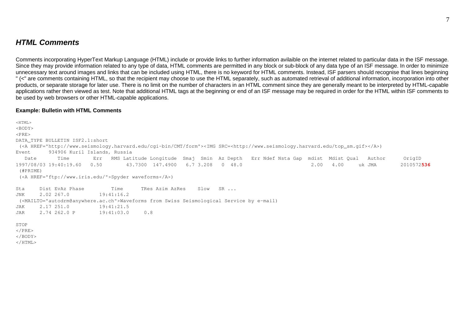### *HTML Comments*

Comments incorporating HyperText Markup Language (HTML) include or provide links to further information avilaible on the internet related to particular data in the ISF message. Since they may provide information related to any type of data, HTML comments are permitted in any block or sub-block of any data type of an ISF message. In order to minimize unnecessary text around images and links that can be included using HTML, there is no keyword for HTML comments. Instead, ISF parsers should recognise that lines beginning " (<" are comments containing HTML, so that the recipient may choose to use the HTML separately, such as automated retrieval of additional information, incorporation into other products, or separate storage for later use. There is no limit on the number of characters in an HTML comment since they are generally meant to be interpreted by HTML-capable applications rather then viewed as test. Note that additional HTML tags at the beginning or end of an ISF message may be required in order for the HTML within ISF comments to be used by web browsers or other HTML-capable applications.

#### **Example: Bulletin with HTML Comments**

<span id="page-6-0"></span> $<$ HTML>  $<$ BODY $>$  $<$ PRE> DATA\_TYPE BULLETIN ISF2.1:short (<A HREF="http://www.seismology.harvard.edu/cgi-bin/CMT/form"><IMG SRC=<http://www.seismology.harvard.edu/top\_sm.gif></A>) Event 934906 Kuril Islands, Russia Date Time Err RMS Latitude Longitude Smaj Smin Az Depth Err Ndef Nsta Gap mdist Mdist Qual Author OrigID 1997/08/03 19:40:19.60 0.50 43.7300 147.4900 6.7 3.208 0 48.0 2.00 4.00 uk JMA 2010572**536** (#PRIME) (<A HREF="ftp://www.iris.edu/">Spyder waveforms</A>) Sta Dist EvAz Phase Time TRes Azim AzRes Slow SR ... JNK 2.02 267.0 19:41:16.2 (<MAILTO="autodrm@anywhere.ac.ch">Waveforms from Swiss Seismological Service by e-mail) JAK 2.17 251.0 19:41:21.5 JAR 2.74 262.0 P 19:41:03.0 0.8 STOP  $<$ /PRE $>$ </BODY>  $<$ /HTML>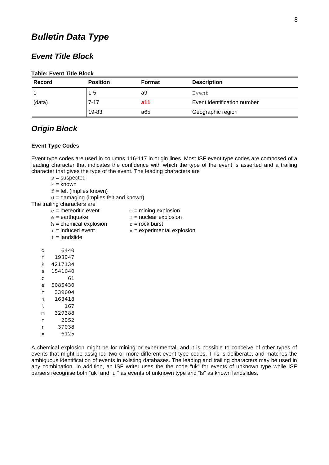### <span id="page-7-2"></span>*Bulletin Data Type*

### <span id="page-7-1"></span>*Event Title Block*

#### **Table: Event Title Block**

| <b>Record</b> | <b>Position</b> | <b>Format</b> | <b>Description</b>          |
|---------------|-----------------|---------------|-----------------------------|
|               | 1-5             | a9            | Event.                      |
| (data)        | 7-17            | a11           | Event identification number |
|               | 19-83           | a65           | Geographic region           |

### <span id="page-7-0"></span>*Origin Block*

#### **Event Type Codes**

Event type codes are used in columns 116-117 in origin lines. Most ISF event type codes are composed of a leading character that indicates the confidence with which the type of the event is asserted and a trailing character that gives the type of the event. The leading characters are

 $s =$ suspected

 $k =$  known

 $f =$  felt (implies known)

 $d =$  damaging (implies felt and known)

The trailing characters are

| $c$ = meteoritic event | $m =$ mining explosion |
|------------------------|------------------------|
|------------------------|------------------------|

- $e =$  earthquake  $n =$  nuclear explosion
- h = chemical explosion  $r = rock$  burst<br>i = induced event  $x = experimen$
- $x =$  experimental explosion
- $1 =$ landslide
- d 6440 f 198947 k 4217134 s 1541640 c 61 e 5085430 h 339604 i 163418 l 167 m 329388 n 2952 r 37038 x 6125

A chemical explosion might be for mining or experimental, and it is possible to conceive of other types of events that might be assigned two or more different event type codes. This is deliberate, and matches the ambiguous identification of events in existing databases. The leading and trailing characters may be used in any combination. In addition, an ISF writer uses the the code "uk" for events of unknown type while ISF parsers recognise both "uk" and "u " as events of unknown type and "ls" as known landslides.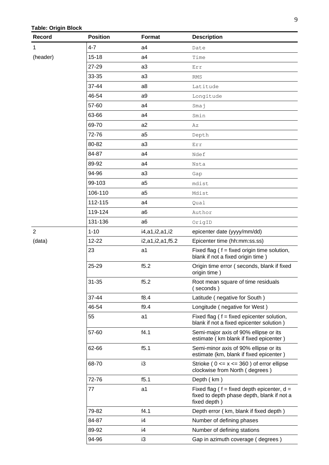### **Table: Origin Block**

| Record         | <b>Position</b> | <b>Format</b>    | <b>Description</b>                                                                                            |
|----------------|-----------------|------------------|---------------------------------------------------------------------------------------------------------------|
| 1              | $4 - 7$         | a <sub>4</sub>   | Date                                                                                                          |
| (header)       | $15 - 18$       | a4               | Time                                                                                                          |
|                | 27-29           | a3               | Err                                                                                                           |
|                | 33-35           | a3               | <b>RMS</b>                                                                                                    |
|                | 37-44           | a8               | Latitude                                                                                                      |
|                | 46-54           | a9               | Longitude                                                                                                     |
|                | 57-60           | a4               | Smaj                                                                                                          |
|                | 63-66           | a4               | Smin                                                                                                          |
|                | 69-70           | a2               | Αz                                                                                                            |
|                | 72-76           | a <sub>5</sub>   | Depth                                                                                                         |
|                | 80-82           | a3               | Err                                                                                                           |
|                | 84-87           | a4               | Ndef                                                                                                          |
|                | 89-92           | a4               | Nsta                                                                                                          |
|                | 94-96           | a3               | Gap                                                                                                           |
|                | 99-103          | a <sub>5</sub>   | mdist                                                                                                         |
|                | 106-110         | a <sub>5</sub>   | Mdist                                                                                                         |
|                | 112-115         | a4               | Qual                                                                                                          |
|                | 119-124         | a <sub>6</sub>   | Author                                                                                                        |
|                | 131-136         | a <sub>6</sub>   | OrigID                                                                                                        |
| $\overline{c}$ | $1 - 10$        | i4,a1,i2,a1,i2   | epicenter date (yyyy/mm/dd)                                                                                   |
| (data)         | 12-22           | i2,a1,i2,a1,f5.2 | Epicenter time (hh:mm:ss.ss)                                                                                  |
|                | 23              | a1               | Fixed flag $( f = fixed origin time solution,$<br>blank if not a fixed origin time)                           |
|                | 25-29           | f5.2             | Origin time error (seconds, blank if fixed<br>origin time)                                                    |
|                | 31-35           | f5.2             | Root mean square of time residuals<br>(seconds)                                                               |
|                | 37-44           | f8.4             | Latitude (negative for South)                                                                                 |
|                | 46-54           | f9.4             | Longitude (negative for West)                                                                                 |
|                | 55              | a1               | Fixed flag $( f = fixed$ epicenter solution,<br>blank if not a fixed epicenter solution)                      |
|                | 57-60           | f4.1             | Semi-major axis of 90% ellipse or its<br>estimate (km blank if fixed epicenter)                               |
|                | 62-66           | f5.1             | Semi-minor axis of 90% ellipse or its<br>estimate (km, blank if fixed epicenter)                              |
|                | 68-70           | i3               | Strioke ( $0 \le x \le 360$ ) of error ellipse<br>clockwise from North (degrees)                              |
|                | 72-76           | f5.1             | Depth (km)                                                                                                    |
|                | 77              | a1               | Fixed flag ( $f = fixed$ depth epicenter, $d =$<br>fixed to depth phase depth, blank if not a<br>fixed depth) |
|                | 79-82           | f4.1             | Depth error (km, blank if fixed depth)                                                                        |
|                | 84-87           | i4               | Number of defining phases                                                                                     |
|                | 89-92           | i4               | Number of defining stations                                                                                   |
|                | 94-96           | i3               | Gap in azimuth coverage (degrees)                                                                             |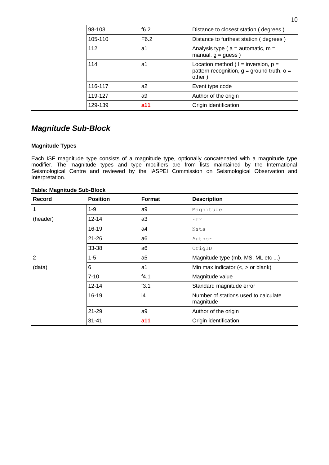| 98-103  | f6.2             | Distance to closest station (degrees)                                                                |
|---------|------------------|------------------------------------------------------------------------------------------------------|
| 105-110 | F <sub>6.2</sub> | Distance to furthest station (degrees)                                                               |
| 112     | a1               | Analysis type ( $a =$ automatic, $m =$<br>manual, $q =quess$ )                                       |
| 114     | a1               | Location method ( $1 =$ inversion, $p =$<br>pattern recognition, $q =$ ground truth, $o =$<br>other) |
| 116-117 | a2               | Event type code                                                                                      |
| 119-127 | a9               | Author of the origin                                                                                 |
| 129-139 | a11              | Origin identification                                                                                |

### <span id="page-9-0"></span>*Magnitude Sub-Block*

#### **Magnitude Types**

Each ISF magnitude type consists of a magnitude type, optionally concatenated with a magnitude type modifier. The magnitude types and type modifiers are from lists maintained by the International Seismological Centre and reviewed by the IASPEI Commission on Seismological Observation and Interpretation.

| <b>Record</b>  | <b>Position</b> | <b>Format</b>  | <b>Description</b>                                |
|----------------|-----------------|----------------|---------------------------------------------------|
| 1              | $1 - 9$         | a9             | Magnitude                                         |
| (header)       | $12 - 14$       | a3             | Err                                               |
|                | $16 - 19$       | a4             | Nsta                                              |
|                | $21 - 26$       | a <sub>6</sub> | Author                                            |
|                | 33-38           | a6             | OrigID                                            |
| $\overline{2}$ | $1 - 5$         | a <sub>5</sub> | Magnitude type (mb, MS, ML etc )                  |
| (data)         | 6               | a1             | Min max indicator $(<, >$ or blank)               |
|                | $7 - 10$        | f4.1           | Magnitude value                                   |
|                | $12 - 14$       | f3.1           | Standard magnitude error                          |
|                | 16-19           | i4             | Number of stations used to calculate<br>magnitude |
|                | 21-29           | a9             | Author of the origin                              |
|                | $31 - 41$       | a11            | Origin identification                             |

#### **Table: Magnitude Sub-Block**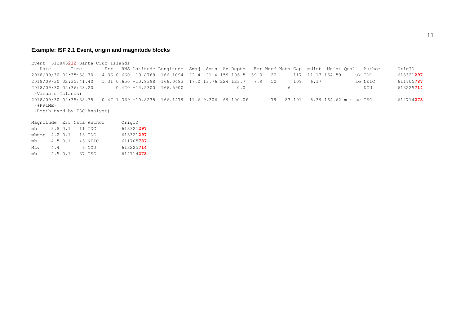#### **Example: ISF 2.1 Event, origin and magnitude blocks**

Event 612845**212** Santa Cruz Islands Date Time Err RMS Latitude Longitude Smaj Smin Az Depth Err Ndef Nsta Gap mdist Mdist Qual Author OrigID 2018/09/30 02:35:38.70 4.36 0.660 -10.8769 166.1094 22.4 21.4 159 106.5 39.0 20 117 11.13 164.59 uk IDC 613321**297** 2018/09/30 02:35:41.40 1.31 0.650 -10.8398 166.0483 17.0 13.76 224 123.7 7.9 50 109 6.17 se NEIC 611705**787** 2018/09/30 02:36:28.20 0.420 -14.5300 166.5900 0.0 6 NOU 613225**714** (Vanuatu Islands) 2018/09/30 02:35:38.75 0.47 1.369 -10.8235 166.1479 11.6 9.306 69 100.0f 79 83 101 5.39 164.62 m i se ISC 614714**278** (#PRIME) (Depth fixed by ISC Analyst) Magnitude Err Nsta Author OrigID mb 3.8 0.1 11 IDC 613321**297** mbtmp 4.2 0.1 13 IDC 613321**297** mb 4.5 0.1 43 NEIC 611705**787** MLv 4.4 6 NOU 613225**714** mb 4.5 0.1 37 ISC 614714**278**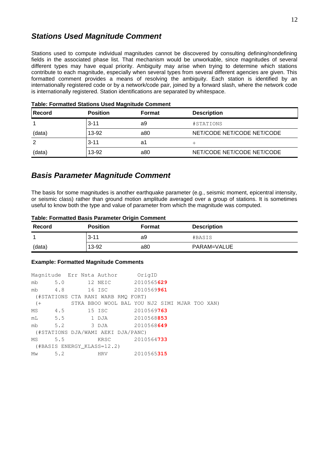### <span id="page-11-1"></span>*Stations Used Magnitude Comment*

Stations used to compute individual magnitudes cannot be discovered by consulting defining/nondefining fields in the associated phase list. That mechanism would be unworkable, since magnitudes of several different types may have equal priority. Ambiguity may arise when trying to determine which stations contribute to each magnitude, especially when several types from several different agencies are given. This formatted comment provides a means of resolving the ambiguity. Each station is identified by an internationally registered code or by a network/code pair, joined by a forward slash, where the network code is internationally registered. Station identifications are separated by whitespace.

| <b>Record</b> | <b>Position</b> | <b>Format</b> | <b>Description</b>         |
|---------------|-----------------|---------------|----------------------------|
|               | $3 - 11$        | a9            | #STATIONS                  |
| (data)        | 13-92           | a80           | NET/CODE NET/CODE NET/CODE |
|               | $3 - 11$        | a1            |                            |
| (data)        | 13-92           | a80           | NET/CODE NET/CODE NET/CODE |

**Table: Formatted Stations Used Magnitude Comment** 

### <span id="page-11-0"></span>*Basis Parameter Magnitude Comment*

The basis for some magnitudes is another earthquake parameter (e.g., seismic moment, epicentral intensity, or seismic class) rather than ground motion amplitude averaged over a group of stations. It is sometimes useful to know both the type and value of parameter from which the magnitude was computed.

| Record | <b>Position</b> | <b>Format</b> | <b>Description</b> |
|--------|-----------------|---------------|--------------------|
|        | $3 - 11$        | a9            | #BASIS             |
| (data) | 13-92           | a80           | PARAM=VALUE        |

#### **Table: Formatted Basis Parameter Origin Comment**

#### **Example: Formatted Magnitude Comments**

|       |            | Magnitude Err Nsta Author OrigID              |            |  |  |
|-------|------------|-----------------------------------------------|------------|--|--|
|       |            | mb 5.0 12 NEIC 2010565629                     |            |  |  |
|       |            | mb 4.8 16 ISC 2010569961                      |            |  |  |
|       |            | (#STATIONS CTA RANI WARB RMQ FORT)            |            |  |  |
| $($ + |            | STKA BBOO WOOL BAL YOU NJ2 SIMI MJAR TOO XAN) |            |  |  |
|       |            | MS 4.5 15 ISC 2010569763                      |            |  |  |
|       |            | mL 5.5 1 DJA 2010568853                       |            |  |  |
|       |            | mb 5.2 3 DJA 2010568649                       |            |  |  |
|       |            | (#STATIONS DJA/WAMI AEKI DJA/PANC)            |            |  |  |
|       | $MS = 5.5$ | KRSC 2010564733                               |            |  |  |
|       |            | (#BASIS ENERGY KLASS=12.2)                    |            |  |  |
|       | Mw $5.2$   | HRV                                           | 2010565315 |  |  |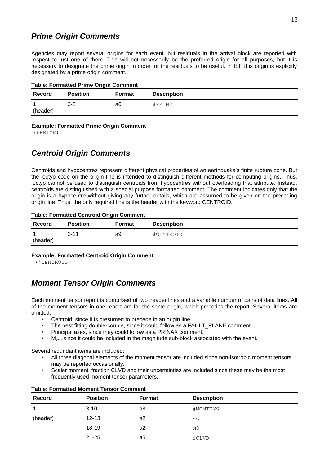### <span id="page-12-2"></span>*Prime Origin Comments*

Agencies may report several origins for each event, but residuals in the arrival block are reported with respect to just one of them. This will not necessarily be the preferred origin for all purposes, but it is necessary to designate the prime origin in order for the residuals to be useful. In ISF this origin is explicitly designated by a prime origin comment.

| <b>Record</b>              | <b>Position</b> | <b>Format</b> | <b>Description</b> |
|----------------------------|-----------------|---------------|--------------------|
| $\overline{ }$<br>(header) | $3 - 8$         | a6            | #PRIME             |

#### **Example: Formatted Prime Origin Comment**

(#PRIME)

### <span id="page-12-1"></span>*Centroid Origin Comments*

Centroids and hypocentres represent different physical properties of an earthquake's finite rupture zone. But the loctyp code on the origin line is intended to distinguish different methods for computing origins. Thus, loctyp cannot be used to distinguish centroids from hypocentres without overloading that attribute. Instead, centroids are distinguished with a special purpose formatted comment. The comment indicates only that the origin is a hypocentre without giving any further details, which are assumed to be given on the preceding origin line. Thus, the only required line is the header with the keyword CENTROID.

#### **Table: Formatted Centroid Origin Comment**

| <b>Record</b> | <b>Position</b> | <b>Format</b> | <b>Description</b> |
|---------------|-----------------|---------------|--------------------|
| ÷<br>(header) | $3 - 11$        | a9            | #CENTROID          |

#### **Example: Formatted Centroid Origin Comment**

(#CENTROID)

### <span id="page-12-0"></span>*Moment Tensor Origin Comments*

Each moment tensor report is comprised of two header lines and a variable number of pairs of data lines. All of the moment tensors in one report are for the same origin, which precedes the report. Several items are omitted:

- Centroid, since it is presumed to precede in an origin line.
- The best fitting double-couple, since it could follow as a FAULT\_PLANE comment.
- Principal axes, since they could follow as a PRINAX comment.
- $M<sub>w</sub>$ , since it could be included in the magnitude sub-block associated with the event.

Several redundant items are included:

- All three diagonal elements of the moment tensor are included since non-isotropic moment tensors may be reported occasionally.
- Scalar moment, fraction CLVD and their uncertainties are included since these may be the most frequently used moment tensor parameters.

| <b>Record</b> | <b>Position</b> | <b>Format</b> | <b>Description</b> |
|---------------|-----------------|---------------|--------------------|
| 1             | $3 - 10$        | a8            | #MOMTENS           |
| (header)      | $12 - 13$       | a2            | SC                 |
|               | 18-19           | a2            | M0                 |
|               | 21-25           | a5            | fCLVD              |

#### **Table: Formatted Moment Tensor Comment**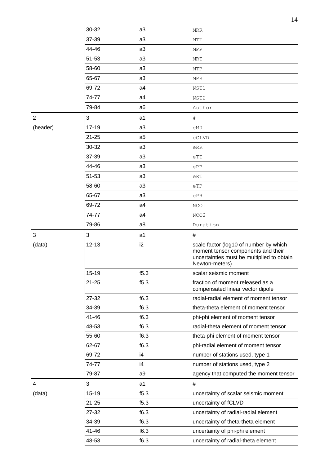|                |           |                | 14                                                                                                                                           |
|----------------|-----------|----------------|----------------------------------------------------------------------------------------------------------------------------------------------|
|                | 30-32     | a3             | <b>MRR</b>                                                                                                                                   |
|                | 37-39     | a3             | MTT                                                                                                                                          |
|                | 44-46     | a <sub>3</sub> | <b>MPP</b>                                                                                                                                   |
|                | 51-53     | a3             | <b>MRT</b>                                                                                                                                   |
|                | 58-60     | a3             | MTP                                                                                                                                          |
|                | 65-67     | a <sub>3</sub> | <b>MPR</b>                                                                                                                                   |
|                | 69-72     | a4             | NST1                                                                                                                                         |
|                | 74-77     | a4             | NST2                                                                                                                                         |
|                | 79-84     | a <sub>6</sub> | Author                                                                                                                                       |
| $\overline{2}$ | 3         | a1             | $\#$                                                                                                                                         |
| (header)       | 17-19     | a3             | eM0                                                                                                                                          |
|                | $21 - 25$ | a <sub>5</sub> | eCLVD                                                                                                                                        |
|                | 30-32     | a <sub>3</sub> | eRR                                                                                                                                          |
|                | 37-39     | a3             | eTT                                                                                                                                          |
|                | 44-46     | a3             | ePP                                                                                                                                          |
|                | 51-53     | a3             | eRT                                                                                                                                          |
|                | 58-60     | a3             | eTP                                                                                                                                          |
|                | 65-67     | a3             | ePR                                                                                                                                          |
|                | 69-72     | a4             | NCO1                                                                                                                                         |
|                | 74-77     | a4             | NCO <sub>2</sub>                                                                                                                             |
|                | 79-86     | a <sub>8</sub> | Duration                                                                                                                                     |
| 3              | 3         | a1             | #                                                                                                                                            |
| (data)         | 12-13     | i2             | scale factor (log10 of number by which<br>moment tensor components and their<br>uncertainties must be multiplied to obtain<br>Newton-meters) |
|                | 15-19     | f5.3           | scalar seismic moment                                                                                                                        |
|                | $21 - 25$ | f5.3           | fraction of moment released as a<br>compensated linear vector dipole                                                                         |
|                | 27-32     |                |                                                                                                                                              |
|                |           | f6.3           | radial-radial element of moment tensor                                                                                                       |
|                | 34-39     | f6.3           | theta-theta element of moment tensor                                                                                                         |
|                | 41-46     | f6.3           | phi-phi element of moment tensor                                                                                                             |
|                | 48-53     | f6.3           | radial-theta element of moment tensor                                                                                                        |
|                | 55-60     | f6.3           | theta-phi element of moment tensor                                                                                                           |
|                | 62-67     | f6.3           | phi-radial element of moment tensor                                                                                                          |
|                | 69-72     | i4             | number of stations used, type 1                                                                                                              |
|                | 74-77     | i4             | number of stations used, type 2                                                                                                              |
|                | 79-87     | a9             | agency that computed the moment tensor                                                                                                       |
| $\overline{4}$ | 3         | a1             | #                                                                                                                                            |
| (data)         | 15-19     | f5.3           | uncertainty of scalar seismic moment                                                                                                         |
|                | $21 - 25$ | f5.3           | uncertainty of fCLVD                                                                                                                         |
|                | 27-32     | f6.3           | uncertainty of radial-radial element                                                                                                         |
|                | 34-39     | f6.3           | uncertainty of theta-theta element                                                                                                           |
|                | 41-46     | f6.3           | uncertainty of phi-phi element                                                                                                               |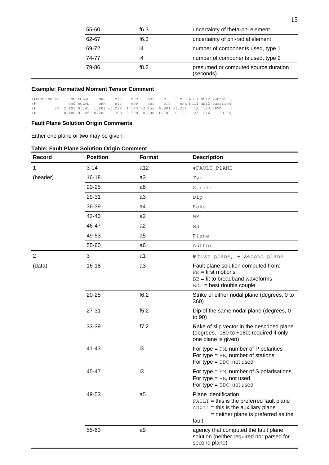| 55-60 | f6.3 | uncertainty of theta-phi element                  |
|-------|------|---------------------------------------------------|
| 62-67 | f6.3 | uncertainty of phi-radial element                 |
| 69-72 | i4   | number of components used, type 1                 |
| 74-77 | i4   | number of components used, type 2                 |
| 79-86 | f8.2 | presumed or computed source duration<br>(seconds) |

#### **Example: Formatted Moment Tensor Comment**

| (#MOMTENS sc |  | MO fCLVD  | <b>MRR</b> | MTT | MPP | MRT MTP |  | MPR NST1 NST2 Author )                                                             |
|--------------|--|-----------|------------|-----|-----|---------|--|------------------------------------------------------------------------------------|
| $($ $#$      |  | eMO eCLVD |            |     |     |         |  | eRR eTT ePP eRT eTP ePR_NCO1_NST2_Duration)                                        |
| $($ #        |  |           |            |     |     |         |  | 27 2.109 0.345 1.601 -6.298 1.543 -3.456 8.901 -1.234 12 123 HRVD )                |
| $($ $#$      |  |           |            |     |     |         |  | $0.100$ $0.045$ $0.200$ $0.300$ $0.300$ $0.200$ $0.100$ $0.100$ $23$ $246$ $30.20$ |

#### **Fault Plane Solution Origin Comments**

Either one plane or two may be given.

### **Table: Fault Plane Solution Origin Comment**

| <b>Record</b>  | <b>Position</b> | <b>Format</b>  | <b>Description</b>                                                                                                                                                   |
|----------------|-----------------|----------------|----------------------------------------------------------------------------------------------------------------------------------------------------------------------|
| $\mathbf{1}$   | $3 - 14$        | a12            | #FAULT_PLANE                                                                                                                                                         |
| (header)       | 16-18           | a3             | Typ                                                                                                                                                                  |
|                | $20 - 25$       | a6             | Strike                                                                                                                                                               |
|                | 29-31           | a3             | Dip                                                                                                                                                                  |
|                | 36-39           | a4             | Rake                                                                                                                                                                 |
|                | 42-43           | a2             | NP                                                                                                                                                                   |
|                | 46-47           | a2             | <b>NS</b>                                                                                                                                                            |
|                | 49-53           | a <sub>5</sub> | Plane                                                                                                                                                                |
|                | 55-60           | a <sub>6</sub> | Author                                                                                                                                                               |
| $\overline{2}$ | 3               | a1             | #first plane, + second plane                                                                                                                                         |
| (data)         | 16-18           | a3             | Fault plane solution computed from:<br>$FM = first$ motions<br>$BB = fit to broadband waveforms$<br>BDC = best double couple                                         |
|                | $20 - 25$       | f6.2           | Strike of either nodal plane (degrees, 0 to<br>360)                                                                                                                  |
|                | 27-31           | f5.2           | Dip of the same nodal plane (degrees, 0<br>to 90)                                                                                                                    |
|                | 33-39           | f7.2           | Rake of slip vector in the described plane<br>(degrees, -180 to +180; required if only<br>one plane is given)                                                        |
|                | $41 - 43$       | i3             | For type = $FM$ , number of P polarities<br>For type $=$ BB, number of stations<br>For type $=$ BDC, not used                                                        |
|                | 45-47           | i3             | For type = $FM$ , number of S polarisations<br>For type $=$ BB, not used<br>For type $=$ BDC, not used                                                               |
|                | 49-53           | a <sub>5</sub> | Plane identification<br>$F \text{AULT}$ = this is the preferred fault plane<br>$AUXIL = this$ is the auxiliary plane<br>= neither plane is preferred as the<br>fault |
|                | 55-63           | a9             | agency that computed the fault plane<br>solution (neither required nor parsed for<br>second plane)                                                                   |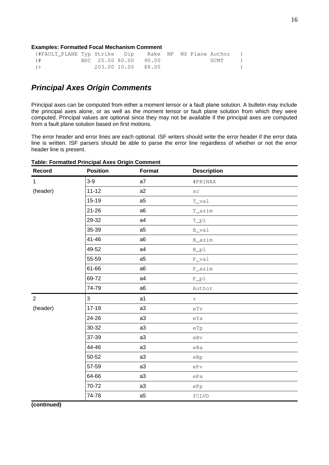#### **Examples: Formatted Focal Mechanism Comment**

| (#FAULT PLANE Typ Strike Dip GRake NP NS Plane Author ) |  |                       |  |        |  |
|---------------------------------------------------------|--|-----------------------|--|--------|--|
| $($ #                                                   |  | BDC 25.00 80.00 90.00 |  | GCMT ) |  |
| $(+)$                                                   |  | 203.00 10.00 88.00    |  |        |  |

### <span id="page-15-0"></span>*Principal Axes Origin Comments*

Principal axes can be computed from either a moment tensor or a fault plane solution. A bulletin may include the principal axes alone, or as well as the moment tensor or fault plane solution from which they were computed. Principal values are optional since they may not be available if the principal axes are computed from a fault plane solution based on first motions.

The error header and error lines are each optional. ISF writers should write the error header if the error data line is written. ISF parsers should be able to parse the error line regardless of whether or not the error header line is present.

| Record         | <b>Position</b> | <b>Format</b>  | <b>Description</b>            |
|----------------|-----------------|----------------|-------------------------------|
| $\mathbf{1}$   | $3-9$           | a7             | #PRINAX                       |
| (header)       | $11 - 12$       | a2             | $\mbox{S}\,\mbox{C}$          |
|                | 15-19           | a <sub>5</sub> | T_val                         |
|                | 21-26           | a <sub>6</sub> | T_azim                        |
|                | 29-32           | a4             | $T_p1$                        |
|                | 35-39           | a <sub>5</sub> | B_val                         |
|                | $41 - 46$       | a6             | B_azim                        |
|                | 49-52           | a4             | $B_p1$                        |
|                | 55-59           | a <sub>5</sub> | $P_Val$                       |
|                | 61-66           | a <sub>6</sub> | P_azim                        |
|                | 69-72           | a4             | $P\_p1$                       |
|                | 74-79           | a6             | Author                        |
| $\overline{2}$ | 3               | a1             | $\boldsymbol{+}$              |
| (header)       | 17-19           | a3             | $\mathrm{eTv}$                |
|                | 24-26           | a3             | eTa                           |
|                | 30-32           | a3             | eTp                           |
|                | 37-39           | a3             | $e$ Bv                        |
|                | 44-46           | a3             | eBa                           |
|                | 50-52           | a3             | eBp                           |
|                | 57-59           | a3             | $\mathrm{ePv}$                |
|                | 64-66           | a3             | ePa                           |
|                | 70-72           | a3             | ePp                           |
|                | 74-78           | a <sub>5</sub> | $\ensuremath{\mathsf{fCLVD}}$ |
| (continued)    |                 |                |                               |

#### **Table: Formatted Principal Axes Origin Comment**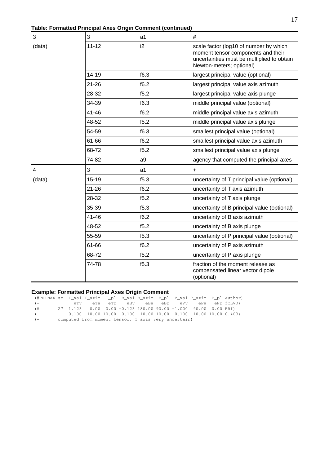**Table: Formatted Principal Axes Origin Comment (continued)**

| 3              | 3         | a1             | #                                                                                                                                                      |
|----------------|-----------|----------------|--------------------------------------------------------------------------------------------------------------------------------------------------------|
| (data)         | $11 - 12$ | i <sub>2</sub> | scale factor (log10 of number by which<br>moment tensor components and their<br>uncertainties must be multiplied to obtain<br>Newton-meters; optional) |
|                | 14-19     | f6.3           | largest principal value (optional)                                                                                                                     |
|                | $21 - 26$ | f6.2           | largest principal value axis azimuth                                                                                                                   |
|                | 28-32     | f5.2           | largest principal value axis plunge                                                                                                                    |
|                | 34-39     | f6.3           | middle principal value (optional)                                                                                                                      |
|                | $41 - 46$ | f6.2           | middle principal value axis azimuth                                                                                                                    |
|                | 48-52     | f5.2           | middle principal value axis plunge                                                                                                                     |
|                | 54-59     | f6.3           | smallest principal value (optional)                                                                                                                    |
|                | 61-66     | f6.2           | smallest principal value axis azimuth                                                                                                                  |
|                | 68-72     | f5.2           | smallest principal value axis plunge                                                                                                                   |
|                | 74-82     | a <sub>9</sub> | agency that computed the principal axes                                                                                                                |
| $\overline{4}$ | 3         | a1             | $+$                                                                                                                                                    |
| (data)         | 15-19     | f5.3           | uncertainty of T principal value (optional)                                                                                                            |
|                | $21 - 26$ | f6.2           | uncertainty of T axis azimuth                                                                                                                          |
|                | 28-32     | f5.2           | uncertainty of T axis plunge                                                                                                                           |
|                | 35-39     | f5.3           | uncertainty of B principal value (optional)                                                                                                            |
|                | 41-46     | f6.2           | uncertainty of B axis azimuth                                                                                                                          |
|                | 48-52     | f5.2           | uncertainty of B axis plunge                                                                                                                           |
|                | 55-59     | f5.3           | uncertainty of P principal value (optional)                                                                                                            |
|                | 61-66     | f6.2           | uncertainty of P axis azimuth                                                                                                                          |
|                | 68-72     | f5.2           | uncertainty of P axis plunge                                                                                                                           |
|                | 74-78     | f5.3           | fraction of the moment release as<br>compensated linear vector dipole<br>(optional)                                                                    |

### **Example: Formatted Principal Axes Origin Comment**

| (#PRINAX sc T_val T_azim T_pl B_val B_azim B_pl P_val P_azim P_pl Author) |  |  |                                                                 |  |  |                                           |
|---------------------------------------------------------------------------|--|--|-----------------------------------------------------------------|--|--|-------------------------------------------|
| $(+)$                                                                     |  |  |                                                                 |  |  | eTv eTa eTp eBv eBa eBp ePv ePa ePpfCLVD) |
| $($ $#$                                                                   |  |  | $27$ 1.123 0.00 0.00 -0.123 180.00 90.00 -1.000 90.00 0.00 ERI) |  |  |                                           |
| $(+)$                                                                     |  |  | $0.100$ 10.00 10.00 0.100 10.00 10.00 0.100 10.00 10.00 0.403)  |  |  |                                           |
| $($ +                                                                     |  |  | computed from moment tensor; T axis very uncertain)             |  |  |                                           |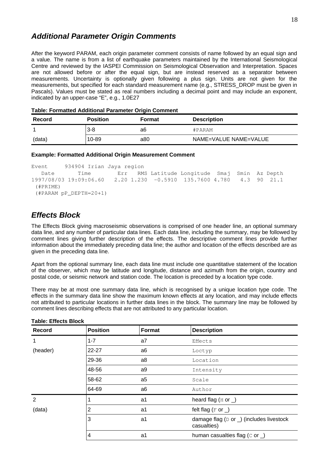### <span id="page-17-1"></span>*Additional Parameter Origin Comments*

After the keyword PARAM, each origin parameter comment consists of name followed by an equal sign and a value. The name is from a list of earthquake parameters maintained by the International Seismological Centre and reviewed by the IASPEI Commission on Seismological Observation and Interpretation. Spaces are not allowed before or after the equal sign, but are instead reserved as a separator between measurements. Uncertainty is optionally given following a plus sign. Units are not given for the measurements, but specified for each standard measurement name (e.g., STRESS\_DROP must be given in Pascals). Values must be stated as real numbers including a decimal point and may include an exponent, indicated by an upper-case "E", e.g., 1.0E27

| Record | <b>Position</b> | <b>Format</b> | <b>Description</b>    |
|--------|-----------------|---------------|-----------------------|
|        | $3 - 8$         | a6            | #PARAM                |
| (data) | 10-89           | a80           | NAME=VALUE NAME=VALUE |

| Table: Formatted Additional Parameter Origin Comment |  |  |
|------------------------------------------------------|--|--|
|------------------------------------------------------|--|--|

| <b>Example: Formatted Additional Origin Measurement Comment</b> |
|-----------------------------------------------------------------|
|-----------------------------------------------------------------|

```
Event 934904 Irian Jaya region
   Date Time Err RMS Latitude Longitude Smaj Smin Az Depth
1997/08/03 19:09:06.60 2.20 1.230 -0.5910 135.7600 4.780 4.3 90 21.1
 (#PRIME)
 (#PARAM pP_DEPTH=20+1)
```
### <span id="page-17-0"></span>*Effects Block*

The Effects Block giving macroseismic observations is comprised of one header line, an optional summary data line, and any number of particular data lines. Each data line, including the summary, may be followed by comment lines giving further description of the effects. The descriptive comment lines provide further information about the immediately preceding data line; the author and location of the effects described are as given in the preceding data line.

Apart from the optional summary line, each data line must include one quantitative statement of the location of the observer, which may be latitude and longitude, distance and azimuth from the origin, country and postal code, or seismic network and station code. The location is preceded by a location type code.

There may be at most one summary data line, which is recognised by a unique location type code. The effects in the summary data line show the maximum known effects at any location, and may include effects not attributed to particular locations in further data lines in the block. The summary line may be followed by comment lines describing effects that are not attributed to any particular location.

| <b>Record</b> | <b>Position</b> | <b>Format</b>  | <b>Description</b>                                               |  |  |  |
|---------------|-----------------|----------------|------------------------------------------------------------------|--|--|--|
| 1             | $1 - 7$         | a7             | Effects                                                          |  |  |  |
| (header)      | 22-27           | a <sub>6</sub> | Loctyp                                                           |  |  |  |
|               | 29-36           | a <sub>8</sub> | Location                                                         |  |  |  |
|               | 48-56           | a9             | Intensity                                                        |  |  |  |
|               | 58-62           | a <sub>5</sub> | Scale                                                            |  |  |  |
|               | 64-69<br>a6     |                | Author                                                           |  |  |  |
| 2             |                 | a1             | heard flag $(H$ or $)$                                           |  |  |  |
| (data)        | $\overline{c}$  | a1             | felt flag $(F$ or $)$                                            |  |  |  |
|               | 3               | a1             | damage flag ( $D$ or $\Box$ ) (includes livestock<br>casualties) |  |  |  |
|               | 4               | a1             | human casualties flag $(C$ or $)$                                |  |  |  |

#### **Table: Effects Block**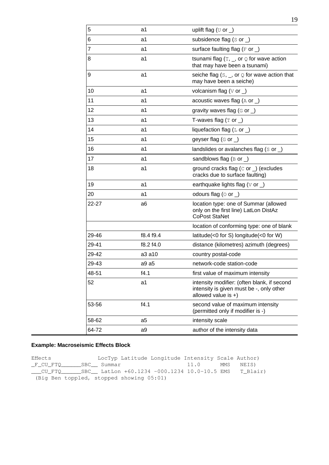| 5              | a1        | uplift flag ( $U$ or $\bigcup$                                                                                   |
|----------------|-----------|------------------------------------------------------------------------------------------------------------------|
| 6              | a1        | subsidence flag $(s$ or $)$                                                                                      |
| $\overline{7}$ | a1        | surface faulting flag ( $F$ or $\Box$ )                                                                          |
| 8              | a1        | tsunami flag $(T, \_$ , or $Q$ for wave action<br>that may have been a tsunami)                                  |
| 9              | a1        | seiche flag $(s, \_$ , or $\circledcirc$ for wave action that<br>may have been a seiche)                         |
| 10             | a1        | volcanism flag ( $\vee$ or )                                                                                     |
| 11             | a1        | acoustic waves flag (A or _)                                                                                     |
| 12             | a1        | gravity waves flag $(G \text{ or } )$                                                                            |
| 13             | a1        | T-waves flag $(T$ or $)$                                                                                         |
| 14             | a1        | liquefaction flag $(L$ or $)$                                                                                    |
| 15             | a1        | geyser flag (G or )                                                                                              |
| 16             | a1        | landslides or avalanches flag ( $s$ or $\Box$ )                                                                  |
| 17             | a1        | sandblows flag $(B \text{ or } )$                                                                                |
| 18             | a1        | ground cracks flag $(C$ or $)$ (excludes<br>cracks due to surface faulting)                                      |
| 19             | a1        | earthquake lights flag ( $\vee$ or $\Box$ )                                                                      |
| 20             | a1        | odours flag ( $\circ$ or )                                                                                       |
| 22-27          | a6        | location type: one of Summar (allowed<br>only on the first line) LatLon DistAz<br><b>CoPost StaNet</b>           |
|                |           | location of conforming type: one of blank                                                                        |
| 29-46          | f8.4 f9.4 | latitude(<0 for S) longitude(<0 for W)                                                                           |
| 29-41          | f8.2 f4.0 | distance (kilometres) azimuth (degrees)                                                                          |
| 29-42          | a3 a10    | country postal-code                                                                                              |
| 29-43          | a9 a5     | network-code station-code                                                                                        |
| 48-51          | f4.1      | first value of maximum intensity                                                                                 |
| 52             | a1        | intensity modifier: (often blank, if second<br>intensity is given must be -, only other<br>allowed value is $+)$ |
| 53-56          | f4.1      | second value of maximum intensity<br>(permitted only if modifier is -)                                           |
| 58-62          | a5        | intensity scale                                                                                                  |
| 64-72          | a9        | author of the intensity data                                                                                     |

#### **Example: Macroseismic Effects Block**

Effects LocTyp Latitude Longitude Intensity Scale Author) \_F\_CU\_FTQ\_\_\_\_\_\_SBC\_\_ Summar 11.0 MMS NEIS) \_\_\_CU\_FTQ\_\_\_\_\_\_SBC\_\_ LatLon +60.1234 -000.1234 10.0-10.5 EMS T\_Blair) (Big Ben toppled, stopped showing 05:01)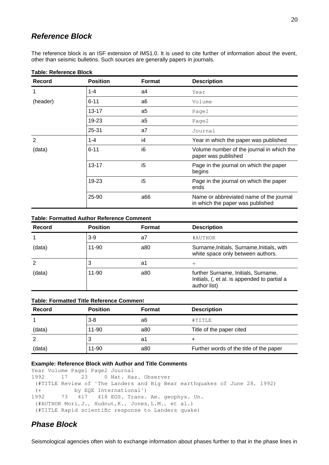### <span id="page-19-1"></span>*Reference Block*

The reference block is an ISF extension of IMS1.0. It is used to cite further of information about the event, other than seismic bulletins. Such sources are generally papers in journals.

| <b>Record</b> | <b>Position</b> | <b>Format</b>  | <b>Description</b>                                                          |  |  |  |  |
|---------------|-----------------|----------------|-----------------------------------------------------------------------------|--|--|--|--|
| 1             | $1 - 4$         | a4             | Year                                                                        |  |  |  |  |
| (header)      | $6 - 11$        | a <sub>6</sub> | Volume                                                                      |  |  |  |  |
|               | 13-17           | a <sub>5</sub> | Page1                                                                       |  |  |  |  |
|               | 19-23           | a5             | Page2                                                                       |  |  |  |  |
|               | 25-31           | a7             | Journal                                                                     |  |  |  |  |
| $\mathcal{P}$ | $1 - 4$         | i4             | Year in which the paper was published                                       |  |  |  |  |
| (data)        | $6 - 11$        | i6             | Volume number of the journal in which the<br>paper was published            |  |  |  |  |
|               | $13 - 17$       | i5             | Page in the journal on which the paper<br>begins                            |  |  |  |  |
|               | 19-23           | i5             | Page in the journal on which the paper<br>ends                              |  |  |  |  |
|               | 25-90           | a66            | Name or abbreviated name of the journal<br>in which the paper was published |  |  |  |  |

#### **Table: Reference Block**

#### **Table: Formatted Author Reference Comment**

| Record | <b>Position</b> | <b>Format</b> | <b>Description</b>                                                                                  |
|--------|-----------------|---------------|-----------------------------------------------------------------------------------------------------|
| 1      | $3-9$           | a7            | #AUTHOR                                                                                             |
| (data) | 11-90           | a80           | Surname, Initials, Surname, Initials, with<br>white space only between authors.                     |
| 2      | 3               | a1            | $^+$                                                                                                |
| (data) | 11-90           | a80           | further Surname, Initials, Surname,<br>Initials, (, et al. is appended to partial a<br>author list) |

| <b>Table: Formatted Title Reference Comment</b> |                                  |     |                                         |  |  |  |  |  |  |  |
|-------------------------------------------------|----------------------------------|-----|-----------------------------------------|--|--|--|--|--|--|--|
| <b>Record</b>                                   | <b>Position</b><br><b>Format</b> |     | <b>Description</b>                      |  |  |  |  |  |  |  |
|                                                 | $3-8$                            | a6  | #TITLE                                  |  |  |  |  |  |  |  |
| (data)                                          | 11-90                            | a80 | Title of the paper cited                |  |  |  |  |  |  |  |
|                                                 | 3                                | a1  |                                         |  |  |  |  |  |  |  |
| (data)                                          | 11-90                            | a80 | Further words of the title of the paper |  |  |  |  |  |  |  |

#### **Example: Reference Block with Author and Title Comments**

```
Year Volume Page1 Page2 Journal
1992 17 23 0 Nat. Haz. Observer
  (#TITLE Review of 'The Landers and Big Bear earthquakes of June 28, 1992)
  (+ by EQE International')
1992 73 417 418 EOS. Trans. Am. geophys. Un.
  (#AUTHOR Mori,J., Hudnut,K., Jones,L.M., et al.)
  (#TITLE Rapid scientific response to Landers quake)
```
### <span id="page-19-0"></span>*Phase Block*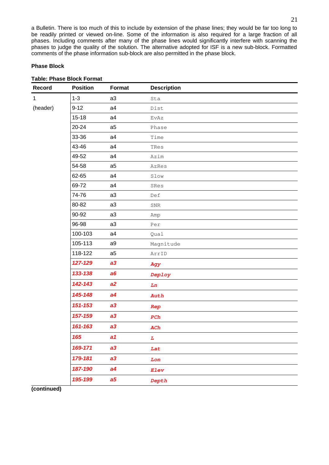a Bulletin. There is too much of this to include by extension of the phase lines; they would be far too long to be readily printed or viewed on-line. Some of the information is also required for a large fraction of all phases. Including comments after many of the phase lines would significantly interfere with scanning the phases to judge the quality of the solution. The alternative adopted for ISF is a new sub-block. Formatted comments of the phase information sub-block are also permitted in the phase block.

#### **Phase Block**

| <b>Record</b> | <b>Position</b> | Format         | <b>Description</b>                                                |
|---------------|-----------------|----------------|-------------------------------------------------------------------|
| $\mathbf{1}$  | $1 - 3$         | a3             | Sta                                                               |
| (header)      | $9-12$          | a4             | Dist                                                              |
|               | 15-18           | a4             | EvAz                                                              |
|               | $20 - 24$       | a <sub>5</sub> | Phase                                                             |
|               | 33-36           | a4             | Time                                                              |
|               | 43-46           | a4             | TRes                                                              |
|               | 49-52           | a4             | Azim                                                              |
|               | 54-58           | a <sub>5</sub> | AzRes                                                             |
|               | 62-65           | a4             | Slow                                                              |
|               | 69-72           | a4             | SRes                                                              |
|               | 74-76           | a3             | Def                                                               |
|               | 80-82           | a3             | ${\tt SNR}$                                                       |
|               | 90-92           | a3             | Amp                                                               |
|               | 96-98           | a3             | Per                                                               |
|               | 100-103         | a4             | Qual                                                              |
|               | 105-113         | a9             | Magnitude                                                         |
|               | 118-122         | a <sub>5</sub> | ArrID                                                             |
|               | 127-129         | a3             | Agy                                                               |
|               | 133-138         | a6             | Deploy                                                            |
|               | 142-143         | a2             | Ln                                                                |
|               | 145-148         | a4             | Auth                                                              |
|               | 151-153         | a3             | Rep                                                               |
|               | 157-159         | a3             | PCh                                                               |
|               | 161-163         | a3             | ACh                                                               |
|               | 165             | a1             | $\mathbf{L}% _{T}=\mathbf{L}_{T}\!\left( \mathbf{I}_{T}\right) ,$ |
|               | 169-171         | a3             | Lat                                                               |
|               | 179-181         | a3             | Lon                                                               |
|               | 187-190         | a4             | Elev                                                              |
|               | 195-199         | a <sub>5</sub> | Depth                                                             |

#### **Table: Phase Block Format**

**(continued)**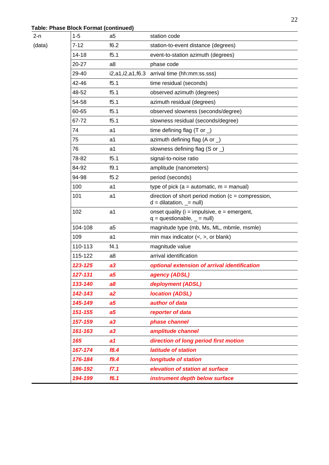### **Table: Phase Block Format (continued)**

| 2-n    | $1 - 5$  | a5                   | station code                                                                        |  |  |  |  |  |
|--------|----------|----------------------|-------------------------------------------------------------------------------------|--|--|--|--|--|
| (data) | $7 - 12$ | f6.2                 | station-to-event distance (degrees)                                                 |  |  |  |  |  |
|        | 14-18    | f5.1                 | event-to-station azimuth (degrees)                                                  |  |  |  |  |  |
|        | 20-27    | a <sub>8</sub>       | phase code                                                                          |  |  |  |  |  |
|        | 29-40    | i2, a1, i2, a1, f6.3 | arrival time (hh:mm:ss.sss)                                                         |  |  |  |  |  |
|        | 42-46    | f5.1                 | time residual (seconds)                                                             |  |  |  |  |  |
|        | 48-52    | f5.1                 | observed azimuth (degrees)                                                          |  |  |  |  |  |
|        | 54-58    | f5.1                 | azimuth residual (degrees)                                                          |  |  |  |  |  |
|        | 60-65    | f5.1                 | observed slowness (seconds/degree)                                                  |  |  |  |  |  |
|        | 67-72    | f5.1                 | slowness residual (seconds/degree)                                                  |  |  |  |  |  |
|        | 74       | a1                   | time defining flag (T or $\Box$ )                                                   |  |  |  |  |  |
|        | 75       | a1                   | azimuth defining flag (A or $\Box$ )                                                |  |  |  |  |  |
|        | 76       | a1                   | slowness defining flag $(S \text{ or } )$                                           |  |  |  |  |  |
|        | 78-82    | f5.1                 | signal-to-noise ratio                                                               |  |  |  |  |  |
|        | 84-92    | f9.1                 | amplitude (nanometers)                                                              |  |  |  |  |  |
|        | 94-98    | f5.2                 | period (seconds)                                                                    |  |  |  |  |  |
|        | 100      | a1                   | type of pick ( $a =$ automatic, $m =$ manual)                                       |  |  |  |  |  |
|        | 101      | a1                   | direction of short period motion ( $c =$ compression,<br>$d = dilatation, - = null$ |  |  |  |  |  |
|        | 102      | a1                   | onset quality ( $i =$ impulsive, $e =$ emergent,<br>$q =$ questionable, $=$ null)   |  |  |  |  |  |
|        | 104-108  | a5                   | magnitude type (mb, Ms, ML, mbmle, msmle)                                           |  |  |  |  |  |
|        | 109      | a1                   | min max indicator $(<, >,$ or blank)                                                |  |  |  |  |  |
|        | 110-113  | f4.1                 | magnitude value                                                                     |  |  |  |  |  |
|        | 115-122  | a <sub>8</sub>       | arrival identification                                                              |  |  |  |  |  |
|        | 123-125  | a3                   | optional extension of arrival identification                                        |  |  |  |  |  |
|        | 127-131  | a <sub>5</sub>       | agency (ADSL)                                                                       |  |  |  |  |  |
|        | 133-140  | a8                   | deployment (ADSL)                                                                   |  |  |  |  |  |
|        | 142-143  | a2                   | <b>location (ADSL)</b>                                                              |  |  |  |  |  |
|        | 145-149  | a <sub>5</sub>       | author of data                                                                      |  |  |  |  |  |
|        | 151-155  | a <sub>5</sub>       | reporter of data                                                                    |  |  |  |  |  |
|        | 157-159  | a3                   | phase channel                                                                       |  |  |  |  |  |
|        | 161-163  | a3                   | amplitude channel                                                                   |  |  |  |  |  |
|        | 165      | a1                   | direction of long period first motion                                               |  |  |  |  |  |
|        | 167-174  | f8.4                 | latitude of station                                                                 |  |  |  |  |  |
|        | 176-184  | f9.4                 | <b>longitude of station</b>                                                         |  |  |  |  |  |
|        | 186-192  | f7.1                 | elevation of station at surface                                                     |  |  |  |  |  |
|        | 194-199  | f6.1                 | instrument depth below surface                                                      |  |  |  |  |  |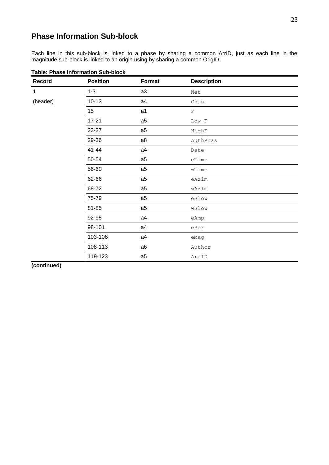### <span id="page-22-0"></span>**Phase Information Sub-block**

Each line in this sub-block is linked to a phase by sharing a common ArrID, just as each line in the magnitude sub-block is linked to an origin using by sharing a common OrigID.

| <b>Record</b> | <b>Position</b> | Format         | <b>Description</b> |
|---------------|-----------------|----------------|--------------------|
| $\mathbf{1}$  | $1 - 3$         | a3             | Net                |
| (header)      | $10 - 13$       | a4             | Chan               |
|               | 15              | a1             | $\mathbf{F}$       |
|               | 17-21           | a5             | $Low_F$            |
|               | 23-27           | a <sub>5</sub> | HighF              |
|               | 29-36           | a8             | AuthPhas           |
|               | 41-44           | a4             | Date               |
|               | 50-54           | a <sub>5</sub> | eTime              |
|               | 56-60           | a <sub>5</sub> | wTime              |
|               | 62-66           | a <sub>5</sub> | eAzim              |
|               | 68-72           | a <sub>5</sub> | wAzim              |
|               | 75-79           | a5             | eSlow              |
|               | 81-85           | a <sub>5</sub> | wSlow              |
|               | 92-95           | a4             | eAmp               |
|               | 98-101          | a4             | ePer               |
|               | 103-106         | a4             | eMag               |
|               | 108-113         | a6             | Author             |
|               | 119-123         | a5             | ArrID              |

**Table: Phase Information Sub-block** 

**(continued)**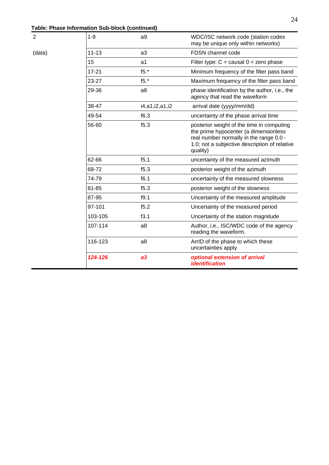| Table: Phase Information Sub-block (continued) |
|------------------------------------------------|
|------------------------------------------------|

| 2      | $1-9$     | a <sub>9</sub> | WDC/ISC network code (station codes<br>may be unique only within networks)                                                                                                                 |  |  |  |  |  |
|--------|-----------|----------------|--------------------------------------------------------------------------------------------------------------------------------------------------------------------------------------------|--|--|--|--|--|
| (data) | $11 - 13$ | a3             | FDSN channel code                                                                                                                                                                          |  |  |  |  |  |
|        | 15        | a1             | Filter type: $C =$ causal $0 =$ zero phase                                                                                                                                                 |  |  |  |  |  |
|        | 17-21     | $f5.*$         | Minimum frequency of the filter pass band                                                                                                                                                  |  |  |  |  |  |
|        | 23-27     | $f5.*$         | Maximum frequency of the filter pass band                                                                                                                                                  |  |  |  |  |  |
|        | 29-36     | a8             | phase identification by the author, i.e., the<br>agency that read the waveform                                                                                                             |  |  |  |  |  |
|        | 38-47     | i4,a1,i2,a1,i2 | arrival date (yyyy/mm/dd)                                                                                                                                                                  |  |  |  |  |  |
|        | 49-54     | f6.3           | uncertainty of the phase arrival time                                                                                                                                                      |  |  |  |  |  |
|        | 56-60     | f5.3           | posterior weight of the time in computing<br>the prime hypocenter (a dimensionless<br>real number normally in the range 0.0 -<br>1.0; not a subjective description of relative<br>quality) |  |  |  |  |  |
|        | 62-66     | f5.1           | uncertainty of the measured azimuth                                                                                                                                                        |  |  |  |  |  |
|        | 68-72     | f5.3           | posterior weight of the azimuth                                                                                                                                                            |  |  |  |  |  |
|        | 74-79     | f6.1           | uncertainty of the measured slowness                                                                                                                                                       |  |  |  |  |  |
|        | 81-85     | f5.3           | posterior weight of the slowness                                                                                                                                                           |  |  |  |  |  |
|        | 87-95     | f9.1           | Uncertainty of the measured amplitude                                                                                                                                                      |  |  |  |  |  |
|        | 97-101    | f5.2           | Uncertainty of the measured period                                                                                                                                                         |  |  |  |  |  |
|        | 103-105   | f3.1           | Uncertainty of the station magnitude                                                                                                                                                       |  |  |  |  |  |
|        | 107-114   | a8             | Author, i.e., ISC/WDC code of the agency<br>reading the waveform.                                                                                                                          |  |  |  |  |  |
|        | 116-123   | a8             | ArrID of the phase to which these<br>uncertainties apply                                                                                                                                   |  |  |  |  |  |
|        | 124-126   | a3             | optional extension of arrival<br><i><b>identification</b></i>                                                                                                                              |  |  |  |  |  |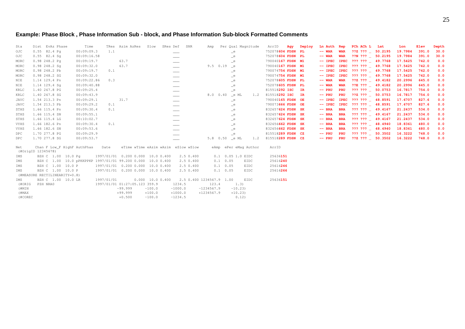### **Example: Phase Block , Phase Information Sub - block, and Phase Information Sub-block Formatted Comments**

| Sta          | Dist EvAz Phase                                             | Time        |            | TRes Azim AzRes                     | Slow               | SRes Def      | SNR       | Amp                      |                  | Per Qual Magnitude    |     | ArrID             | Agy | Deploy | Ln Auth Rep |             | PCh ACh L Lat                             | Lon     | Elev  | Depth |
|--------------|-------------------------------------------------------------|-------------|------------|-------------------------------------|--------------------|---------------|-----------|--------------------------|------------------|-----------------------|-----|-------------------|-----|--------|-------------|-------------|-------------------------------------------|---------|-------|-------|
| OJC          | $0.55$ 82.4 Pq                                              | 00:09:09.3  | 1.1        |                                     |                    |               |           |                          |                  | $=$ e                 |     | 752078604 FDSN PL |     |        | $--$ WAR    | <b>WAR</b>  | $?2Z$ $???$ $\_$ 50.2195                  | 19.7984 | 391.0 | 30.0  |
| OJC          | $0.55$ 82.4 Sq                                              | 00:09:16.58 |            |                                     |                    |               |           |                          |                  | $=$ e                 |     | 752078604 FDSN PL |     |        | $--$ WAR    | <b>WAR</b>  | $??N ???$ 50.2195                         | 19.7984 | 391.0 | 30.0  |
| MORC         | 0.98248.2Pq                                                 | 00:09:19.7  |            | 63.7                                |                    |               |           |                          |                  | e                     |     | 790040167 FDSN M1 |     |        | $--$ IPEC   |             | IPEC ??? ??? _ 49.7768                    | 17.5425 | 742.0 | 0.0   |
| MORC         | $0.98248.2$ Sq                                              | 00:09:32.0  |            | 63.7                                |                    |               |           | $9.5$ 0.19 e             |                  |                       |     | 790040167 FDSN M1 |     |        | $-- IPEC$   |             | IPEC ??? ??? _ 49.7768                    | 17.5425 | 742.0 | 0.0   |
| MORC         | 0.98 248.2 Pb                                               | 00:09:19.7  | 0.1        |                                     |                    |               |           |                          |                  | $=$ e                 |     | 790074754 FDSN M1 |     |        | $-- IPEC$   |             | IPEC ??? ??? 49.7768                      | 17.5425 | 742.0 | 0.0   |
| MORC         | 0.98 248.2 SG                                               | 00:09:32.0  |            |                                     |                    |               |           |                          |                  | e                     |     | 790074754 FDSN M1 |     |        | $-- IPEC$   |             | IPEC ??? ??? 49.7768                      | 17.5425 | 742.0 | 0.0   |
| NIE          | 1.14 129.4 Pn                                               | 00:09:22.86 | 0.3        |                                     |                    |               |           |                          |                  | $=$ e                 |     | 752078605 FDSN PL |     |        | $--$ WAR    | <b>WAR</b>  | $??Z ??? = 49.4182$                       | 20.2996 | 645.0 | 0.0   |
| NIE          | 1.14 129.4 Sq                                               | 00:09:40.88 |            |                                     |                    |               |           |                          |                  | e                     |     | 752078605 FDSN PL |     |        | $--$ WAR    | <b>WAR</b>  | $?$ ?E ??? $\_$ 49.4182                   | 20.2996 | 645.0 | 0.0   |
| KRLC         | 1.40 267.8 PG                                               | 00:09:25.4  |            |                                     |                    |               |           |                          |                  | $=$ e                 |     | 815518292 ISC IR  |     |        | $--$ PRU    | PRU         | $??\,\,?\,\,?\,\,\_ \ 50.0753$            | 16.7817 | 754.0 | 0.0   |
| KRLC         | 1.40 267.8 SG                                               | 00:09:43.9  |            |                                     |                    |               |           | 8.0 0.40 _e ML           |                  |                       | 1.2 | 815518292 ISC IR  |     |        | $--$ PRU    | PRU         | ??Z ??? 50.0753                           | 16.7817 | 754.0 | 0.0   |
| JAVC         | 1.54 213.3 Pn                                               | 00:09:29.1  |            | 31.7                                |                    | ___           |           |                          |                  | $=$ e                 |     | 790040165 FDSN OE |     |        | $-- IPEC$   | <b>IPEC</b> | ??? ??? 48.8591                           | 17.6707 | 827.6 | 0.0   |
| JAVC         | 1.54 213.3 Pb                                               | 00:09:29.2  | 0.1        |                                     |                    | ___           |           |                          |                  | _e                    |     | 790073666 FDSN OE |     |        | $-- IPEC$   |             | IPEC ??? ??? _ 48.8591                    | 17.6707 | 827.6 | 0.0   |
| STHS         | 1.66 115.4 Pn                                               | 00:09:30.4  | 0.1        |                                     |                    | $\frac{1}{2}$ |           |                          |                  | $=$ e                 |     | 832657624 FDSN SK |     |        | $--$ BRA    | <b>BRA</b>  | ??? ??? 49.4167                           | 21.2437 | 534.0 | 0.0   |
| STHS         | 1.66 115.4 SN                                               | 00:09:55.1  |            |                                     |                    |               |           |                          |                  | e                     |     | 832657624 FDSN SK |     |        | $--$ BRA    | <b>BRA</b>  | $??? ???$ 49.4167                         | 21.2437 | 534.0 | 0.0   |
| STHS         | 1.66 115.4 LG                                               | 00:10:02.7  |            |                                     |                    |               |           |                          |                  | $=$ e                 |     | 832657624 FDSN SK |     |        | $--$ BRA    | <b>BRA</b>  | $??\,\,?\,\,?\,\,\_49.4167$               | 21.2437 | 534.0 | 0.0   |
| VYHS         | 1.66 182.6 Pn                                               | 00:09:30.4  | 0.1        |                                     |                    |               |           |                          |                  | $=$ e                 |     | 832656662 FDSN SK |     |        | $--$ BRA    | <b>BRA</b>  | ??? ??? 48.4940                           | 18.8361 | 480.0 | 0.0   |
| VYHS         | 1.66 182.6 SN                                               | 00:09:53.6  |            |                                     |                    |               |           |                          |                  | $=$ e                 |     | 832656662 FDSN SK |     |        | $--$ BRA    | <b>BRA</b>  | $??\, ??\, 2?\, 48.4940$                  | 18.8361 | 480.0 | 0.0   |
| $_{\rm DPC}$ | 1.70 277.8 PG                                               | 00:09:29.9  |            |                                     |                    |               |           |                          |                  | $_{\rm e}$            |     | 815518289 FDSN CZ |     |        | $--$ PRU    | PRU         | $??\, ??\, ? \quad 50.3502 \quad 16.3222$ |         | 748.0 | 0.0   |
| DPC          | 1,70 277.8 SG                                               | 00:09:53.7  |            |                                     |                    |               |           | 5.8 0.50 e ML            |                  |                       | 1.2 | 815518289 FDSN CZ |     |        | $--$ PRU    | PRU         | $??Z ???$ 50.3502                         | 16.3222 | 748.0 | 0.0   |
| Net          | Chan F Low_F HighF AuthPhas<br>(#OrigID 12345678)           |             | Date       | eTime wTime eAzim wAzim eSlow wSlow |                    |               |           |                          |                  | eAmp ePer eMag Author |     | ArrID             |     |        |             |             |                                           |         |       |       |
| IMS          | BZH C 1.00 10.0 Pg                                          |             |            | 1997/01/01 0.200 0.000 10.0 0.400   |                    |               | 2.5 0.400 |                          |                  | 0.1 0.05 1.0 EIDC     |     | 25636151          |     |        |             |             |                                           |         |       |       |
| IMS          | BZH C 1.00 10.0 pPKKPPKP 1997/01/01 99.200 0.000 10.0 0.400 |             |            |                                     |                    |               | 2.5 0.400 |                          | $0.1 \quad 0.05$ | EIDC                  |     | 25616240          |     |        |             |             |                                           |         |       |       |
| IMS          | BZH C 1.00 10.0 P                                           |             |            | 1997/01/01 0.200 0.000 10.0 0.400   |                    |               | 2.5 0.400 |                          | $0.1 \quad 0.05$ | EIDC                  |     | 25616246          |     |        |             |             |                                           |         |       |       |
| IMS          | BZH C 1.00 10.0 P                                           |             |            | 1997/01/01 0.200 0.000 10.0 0.400   |                    |               | 2.5 0.400 |                          | $0.1 \quad 0.05$ | EIDC                  |     | 25616266          |     |        |             |             |                                           |         |       |       |
|              | (#MEASURE RECTILINEARITY=0.8)                               |             |            |                                     |                    |               |           |                          |                  |                       |     |                   |     |        |             |             |                                           |         |       |       |
| IMS          | BZH C 1.00 10.0 LR                                          |             | 1997/01/01 |                                     | $0.000$ 10.0 0.400 |               |           | 2.5 0.400 1234567.9 1.00 |                  | EIDC                  |     | 25636151          |     |        |             |             |                                           |         |       |       |
| (#ORIG       | PZH NRAO                                                    |             |            | 1997/01/01 01:27:05.123 359.9       |                    |               | 1234.5    | 123.4                    |                  | 1.3)                  |     |                   |     |        |             |             |                                           |         |       |       |
| (#MIN        |                                                             |             |            | $-99.999$                           | $-100.0$           |               | $-1000.0$ | $-1234567.9$             |                  | $-10.23$              |     |                   |     |        |             |             |                                           |         |       |       |
| (#MAX        |                                                             |             |            | $+99.999$                           | $+100.0$           |               | $+1000.0$ | $+1234567.9$             |                  | $+10.23$              |     |                   |     |        |             |             |                                           |         |       |       |
| (#COREC      |                                                             |             |            | $+0.500$                            | $-100.0$           |               | $-1234.5$ |                          |                  | 0.12)                 |     |                   |     |        |             |             |                                           |         |       |       |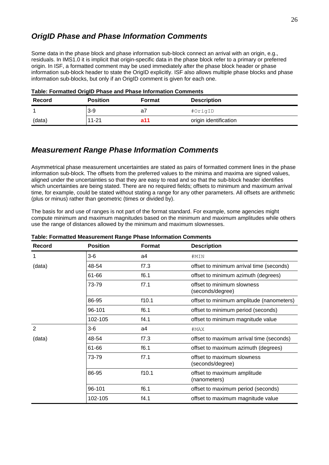### <span id="page-25-1"></span>*OrigID Phase and Phase Information Comments*

Some data in the phase block and phase information sub-block connect an arrival with an origin, e.g., residuals. In IMS1.0 it is implicit that origin-specific data in the phase block refer to a primary or preferred origin. In ISF, a formatted comment may be used immediately after the phase block header or phase information sub-block header to state the OrigID explicitly. ISF also allows multiple phase blocks and phase information sub-blocks, but only if an OrigID comment is given for each one.

| Record | <b>Position</b> | Format | <b>Description</b>    |  |  |  |  |  |  |
|--------|-----------------|--------|-----------------------|--|--|--|--|--|--|
|        | $3-9$           | a      | #OrigID               |  |  |  |  |  |  |
| (data) | 11-21           | a11    | origin identification |  |  |  |  |  |  |

### <span id="page-25-0"></span>*Measurement Range Phase Information Comments*

Asymmetrical phase measurement uncertainties are stated as pairs of formatted comment lines in the phase information sub-block. The offsets from the preferred values to the minima and maxima are signed values, aligned under the uncertainties so that they are easy to read and so that the sub-block header identifies which uncertainties are being stated. There are no required fields; offsets to minimum and maximum arrival time, for example, could be stated without stating a range for any other parameters. All offsets are arithmetic (plus or minus) rather than geometric (times or divided by).

The basis for and use of ranges is not part of the format standard. For example, some agencies might compute minimum and maximum magnitudes based on the minimum and maximum amplitudes while others use the range of distances allowed by the minimum and maximum slownesses.

| <b>Record</b> | <b>Position</b> | <b>Format</b> | <b>Description</b>                             |
|---------------|-----------------|---------------|------------------------------------------------|
| 1             | $3-6$           | a4            | #MIN                                           |
| (data)        | 48-54           | f7.3          | offset to minimum arrival time (seconds)       |
|               | 61-66           | f6.1          | offset to minimum azimuth (degrees)            |
|               | 73-79           | f7.1          | offset to minimum slowness<br>(seconds/degree) |
|               | 86-95           | f10.1         | offset to minimum amplitude (nanometers)       |
|               | 96-101          | f6.1          | offset to minimum period (seconds)             |
|               | 102-105         | f4.1          | offset to minimum magnitude value              |
| $\mathcal{P}$ | $3-6$           | a4            | #MAX                                           |
| (data)        | 48-54           | f7.3          | offset to maximum arrival time (seconds)       |
|               | 61-66           | f6.1          | offset to maximum azimuth (degrees)            |
|               | 73-79           | f7.1          | offset to maximum slowness<br>(seconds/degree) |
|               | 86-95           | f10.1         | offset to maximum amplitude<br>(nanometers)    |
|               | 96-101          | f6.1          | offset to maximum period (seconds)             |
|               | 102-105         | f4.1          | offset to maximum magnitude value              |

#### **Table: Formatted Measurement Range Phase Information Comments**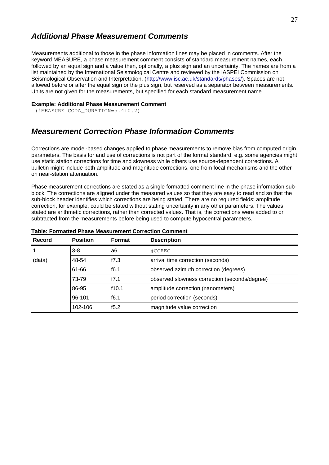### <span id="page-26-1"></span>*Additional Phase Measurement Comments*

Measurements additional to those in the phase information lines may be placed in comments. After the keyword MEASURE, a phase measurement comment consists of standard measurement names, each followed by an equal sign and a value then, optionally, a plus sign and an uncertainty. The names are from a list maintained by the International Seismological Centre and reviewed by the IASPEI Commission on Seismological Observation and Interpretation, (http://www.isc.ac.uk/standards/phases/). Spaces are not allowed before or after the equal sign or the plus sign, but reserved as a separator between measurements. Units are not given for the measurements, but specified for each standard measurement name.

#### **Example: Additional Phase Measurement Comment**

(#MEASURE CODA\_DURATION=5.4+0.2)

### <span id="page-26-0"></span>*Measurement Correction Phase Information Comments*

Corrections are model-based changes applied to phase measurements to remove bias from computed origin parameters. The basis for and use of corrections is not part of the format standard, e.g. some agencies might use static station corrections for time and slowness while others use source-dependent corrections. A bulletin might include both amplitude and magnitude corrections, one from focal mechanisms and the other on near-station attenuation.

Phase measurement corrections are stated as a single formatted comment line in the phase information subblock. The corrections are aligned under the measured values so that they are easy to read and so that the sub-block header identifies which corrections are being stated. There are no required fields; amplitude correction, for example, could be stated without stating uncertainty in any other parameters. The values stated are arithmetic corrections, rather than corrected values. That is, the corrections were added to or subtracted from the measurements before being used to compute hypocentral parameters.

| <b>Record</b> | <b>Position</b> | <b>Format</b> | <b>Description</b>                            |
|---------------|-----------------|---------------|-----------------------------------------------|
| $\mathbf{1}$  | $3-8$           | a6            | $# \text{COREC}$                              |
| (data)        | 48-54           | f7.3          | arrival time correction (seconds)             |
|               | 61-66<br>f6.1   |               | observed azimuth correction (degrees)         |
|               | 73-79           | f7.1          | observed slowness correction (seconds/degree) |
|               | 86-95           | f10.1         | amplitude correction (nanometers)             |
|               | 96-101          | f6.1          | period correction (seconds)                   |
|               | 102-106         | f5.2          | magnitude value correction                    |

#### **Table: Formatted Phase Measurement Correction Comment**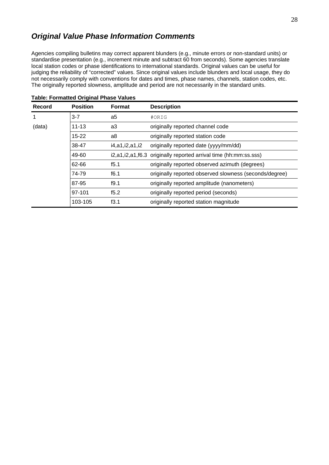### <span id="page-27-0"></span>*Original Value Phase Information Comments*

Agencies compiling bulletins may correct apparent blunders (e.g., minute errors or non-standard units) or standardise presentation (e.g., increment minute and subtract 60 from seconds). Some agencies translate local station codes or phase identifications to international standards. Original values can be useful for judging the reliability of "corrected" values. Since original values include blunders and local usage, they do not necessarily comply with conventions for dates and times, phase names, channels, station codes, etc. The originally reported slowness, amplitude and period are not necessarily in the standard units.

| <b>Record</b> | <b>Position</b> | <b>Format</b>  | <b>Description</b>                                                     |
|---------------|-----------------|----------------|------------------------------------------------------------------------|
| $\mathbf{1}$  | $3 - 7$         | a5             | #ORIG                                                                  |
| (data)        | 11-13           | a3             | originally reported channel code                                       |
|               | $15 - 22$       | a8             | originally reported station code                                       |
|               | 38-47           | i4,a1,i2,a1,i2 | originally reported date (yyyy/mm/dd)                                  |
|               | 49-60           |                | i2, a1, i2, a1, f6.3 originally reported arrival time (hh: mm: ss.sss) |
|               | 62-66           | f5.1           | originally reported observed azimuth (degrees)                         |
|               | 74-79           | f6.1           | originally reported observed slowness (seconds/degree)                 |
|               | 87-95           | f9.1           | originally reported amplitude (nanometers)                             |
|               | 97-101          | f5.2           | originally reported period (seconds)                                   |
|               | 103-105         | f3.1           | originally reported station magnitude                                  |

| <b>Table: Formatted Original Phase Values</b> |  |  |  |
|-----------------------------------------------|--|--|--|
|-----------------------------------------------|--|--|--|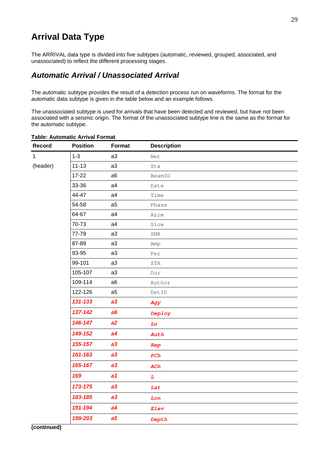### <span id="page-28-1"></span>**Arrival Data Type**

The ARRIVAL data type is divided into five subtypes (automatic, reviewed, grouped, associated, and unassociated) to reflect the different processing stages.

### <span id="page-28-0"></span>*Automatic Arrival / Unassociated Arrival*

The automatic subtype provides the result of a detection process run on waveforms. The format for the automatic data subtype is given in the table below and an example follows.

The unassociated subtype is used for arrivals that have been detected and reviewed, but have not been associated with a seismic origin. The format of the unassociated subtype line is the same as the format for the automatic subtype.

| Record   | <b>Position</b> | <b>Format</b>  | <b>Description</b>                                              |
|----------|-----------------|----------------|-----------------------------------------------------------------|
| 1        | $1 - 3$         | a3             | Net                                                             |
| (header) | $11 - 13$       | a3             | Sta                                                             |
|          | 17-22           | a6             | BeamID                                                          |
|          | 33-36           | a4             | Date                                                            |
|          | 44-47           | a4             | Time                                                            |
|          | 54-58           | a <sub>5</sub> | Phase                                                           |
|          | 64-67           | a4             | Azim                                                            |
|          | 70-73           | a4             | Slow                                                            |
|          | 77-79           | a3             | ${\tt SNR}$                                                     |
|          | 87-89           | a3             | Amp                                                             |
|          | 93-95           | a3             | Per                                                             |
|          | 99-101          | a3             | STA                                                             |
|          | 105-107         | a <sub>3</sub> | Dur                                                             |
|          | 109-114         | a <sub>6</sub> | Author                                                          |
|          | 122-126         | a <sub>5</sub> | DetID                                                           |
|          | 131-133         | a3             | Agy                                                             |
|          | 137-142         | a6             | Deploy                                                          |
|          | 146-147         | a2             | Ln                                                              |
|          | 149-152         | a4             | Auth                                                            |
|          | 155-157         | a3             | Rep                                                             |
|          | 161-163         | a3             | PCh                                                             |
|          | 165-167         | a3             | ACh                                                             |
|          | 169             | a1             | $\mathbf{L}% _{T}=\mathbf{L}_{T}\!\left( \mathbf{I}_{T}\right)$ |
|          | 173-175         | a3             | Lat                                                             |
|          | 183-185         | a3             | Lon                                                             |
|          | 191-194         | a4             | Elev                                                            |
|          | 199-203         | a <sub>5</sub> | Depth                                                           |
|          |                 |                |                                                                 |

#### **Table: Automatic Arrival Format**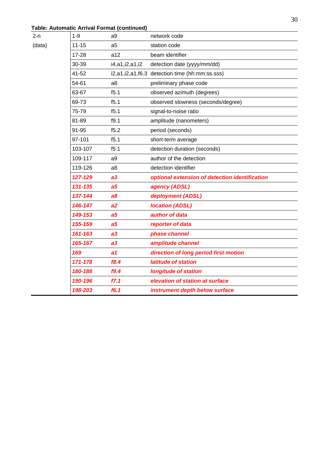### **Table: Automatic Arrival Format (continued)**

 $(data)$ 

| 2-n    | $1 - 9$ | a9             | network code                                   |  |  |  |  |  |  |
|--------|---------|----------------|------------------------------------------------|--|--|--|--|--|--|
| (data) | 11-15   | a <sub>5</sub> | station code                                   |  |  |  |  |  |  |
|        | 17-28   | a12            | beam identifier                                |  |  |  |  |  |  |
|        | 30-39   | i4,a1,i2,a1,i2 | detection date (yyyy/mm/dd)                    |  |  |  |  |  |  |
|        | 41-52   |                | i2,a1,i2,a1,f6.3 detection time (hh:mm:ss.sss) |  |  |  |  |  |  |
|        | 54-61   | a <sub>8</sub> | preliminary phase code                         |  |  |  |  |  |  |
|        | 63-67   | f5.1           | observed azimuth (degrees)                     |  |  |  |  |  |  |
|        | 69-73   | f5.1           | observed slowness (seconds/degree)             |  |  |  |  |  |  |
|        | 75-79   | f5.1           | signal-to-noise ratio                          |  |  |  |  |  |  |
|        | 81-89   | f9.1           | amplitude (nanometers)                         |  |  |  |  |  |  |
|        | 91-95   | f5.2           | period (seconds)                               |  |  |  |  |  |  |
|        | 97-101  | f5.1           | short-term average                             |  |  |  |  |  |  |
|        | 103-107 | f5.1           | detection duration (seconds)                   |  |  |  |  |  |  |
|        | 109-117 | a <sub>9</sub> | author of the detection                        |  |  |  |  |  |  |
|        | 119-126 | a <sub>8</sub> | detection identifier                           |  |  |  |  |  |  |
|        | 127-129 | a3             | optional extension of detection identification |  |  |  |  |  |  |
|        | 131-135 | a <sub>5</sub> | agency (ADSL)                                  |  |  |  |  |  |  |
|        | 137-144 | a8             | deployment (ADSL)                              |  |  |  |  |  |  |
|        | 146-147 | a2             | <b>location (ADSL)</b>                         |  |  |  |  |  |  |
|        | 149-153 | a <sub>5</sub> | author of data                                 |  |  |  |  |  |  |
|        | 155-159 | a <sub>5</sub> | reporter of data                               |  |  |  |  |  |  |
|        | 161-163 | a3             | phase channel                                  |  |  |  |  |  |  |
|        | 165-167 | a3             | amplitude channel                              |  |  |  |  |  |  |
|        | 169     | a1             | direction of long period first motion          |  |  |  |  |  |  |
|        | 171-178 | f8.4           | latitude of station                            |  |  |  |  |  |  |
|        | 180-188 | f9.4           | <b>longitude of station</b>                    |  |  |  |  |  |  |
|        | 190-196 | f7.1           | elevation of station at surface                |  |  |  |  |  |  |
|        | 198-203 | f6.1           | instrument depth below surface                 |  |  |  |  |  |  |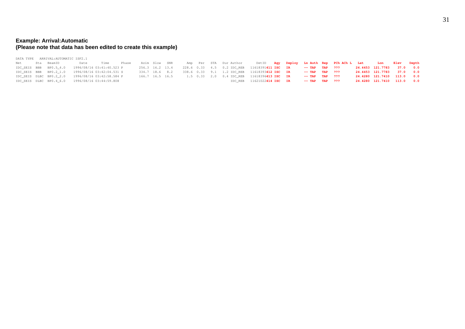#### **Example: Arrival:Automatic (Please note that data has been edited to create this example)**

|                | DATA TYPE ARRIVAL: AUTOMATIC ISF2.1                              |                 |                |  |  |                       |                                                             |                     |                                                           |                            |  |
|----------------|------------------------------------------------------------------|-----------------|----------------|--|--|-----------------------|-------------------------------------------------------------|---------------------|-----------------------------------------------------------|----------------------------|--|
| Net Sta BeamID |                                                                  | Date Time Phase | Azim Slow SNR  |  |  | Amp Per STA DurAuthor |                                                             |                     | DetID Agy Deploy Ln Auth Rep PCh ACh L Lat Lon Elev Depth |                            |  |
|                | IDC SEIS BBB BP0.5 4.0 1996/08/16 03:41:40.523 P 256.3 16.2 13.4 |                 |                |  |  |                       | 228.6 0.33 4.5 0.2 IDC_REB 11618391411 ISC IR               | $--$ TAP TAP $?$ ?? |                                                           | 24.4453 121.7783 37.0 0.0  |  |
|                | IDC SEIS BBB BP0.2 1.0 1996/08/16 03:42:04.531 S                 |                 | 334.7 18.6 8.2 |  |  |                       | 338.6 0.33 9.1 1.2 IDC REB 11618393412 ISC IR               | $--$ TAP TAP ???    |                                                           | 24.4453 121.7783 37.0 0.0  |  |
|                | IDC SEIS DLBC BP0.2 2.0 1996/08/16 03:42:58.584 P                |                 |                |  |  |                       | 166.7 16.5 16.5 1.5 0.33 2.0 0.4 IDC REB 11618396413 ISC IR | $--$ TAP TAP ???    |                                                           | 24.4280 121.7410 113.0 0.0 |  |
|                | IDC SEIS DLBC BP0.4 6.0 1996/08/16 03:44:59.808                  |                 |                |  |  |                       | IDC REB 11621022414 ISC IR                                  | $--$ TAP TAP ???    |                                                           | 24.4280 121.7410 113.0 0.0 |  |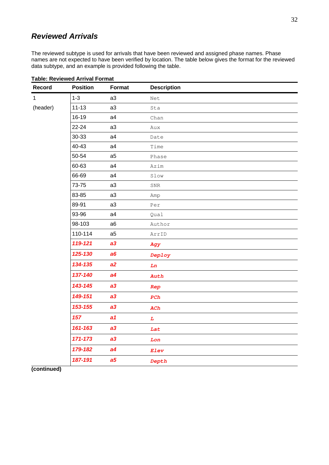### <span id="page-31-0"></span>*Reviewed Arrivals*

The reviewed subtype is used for arrivals that have been reviewed and assigned phase names. Phase names are not expected to have been verified by location. The table below gives the format for the reviewed data subtype, and an example is provided following the table.

| <b>Record</b> | <b>Position</b> | <b>Format</b>  | <b>Description</b> |
|---------------|-----------------|----------------|--------------------|
| $\mathbf{1}$  | $1-3$           | a3             | Net                |
| (header)      | $11 - 13$       | a3             | Sta                |
|               | 16-19           | a4             | Chan               |
|               | $22 - 24$       | a3             | Aux                |
|               | 30-33           | a4             | Date               |
|               | 40-43           | a4             | Time               |
|               | 50-54           | a5             | Phase              |
|               | 60-63           | a4             | Azim               |
|               | 66-69           | a4             | Slow               |
|               | 73-75           | a3             | $_{\rm SNR}$       |
|               | 83-85           | a3             | Amp                |
|               | 89-91           | a3             | Per                |
|               | 93-96           | a4             | Qual               |
|               | 98-103          | a6             | Author             |
|               | 110-114         | a <sub>5</sub> | ArrID              |
|               | 119-121         | a3             | Agy                |
|               | 125-130         | a6             | Deploy             |
|               | 134-135         | a2             | Ln                 |
|               | 137-140         | a4             | Auth               |
|               | 143-145         | a3             | Rep                |
|               | 149-151         | a3             | PCh                |
|               | 153-155         | a3             | ACh                |
|               | 157             | a1             | $\overline{L}$     |
|               | 161-163         | a3             | Lat                |
|               | 171-173         | a3             | Lon                |
|               | 179-182         | a4             | Elev               |
|               | 187-191         | a <sub>5</sub> | Depth              |

#### **Table: Reviewed Arrival Format**

### **(continued)**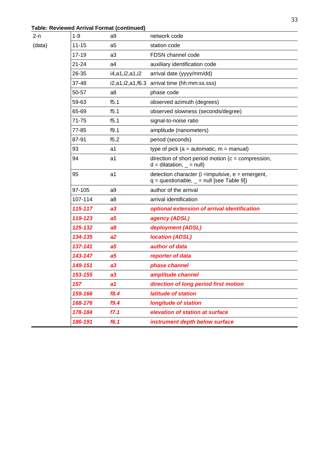### **Table: Reviewed Arrival Format (continued)**

 $(data)$ 

| 2-n    | $1-9$     | a <sub>9</sub> | network code                                                                                          |
|--------|-----------|----------------|-------------------------------------------------------------------------------------------------------|
| (data) | $11 - 15$ | a <sub>5</sub> | station code                                                                                          |
|        | 17-19     | a <sub>3</sub> | FDSN channel code                                                                                     |
|        | $21 - 24$ | a <sub>4</sub> | auxiliary identification code                                                                         |
|        | 26-35     | i4,a1,i2,a1,i2 | arrival date (yyyy/mm/dd)                                                                             |
|        | $37 - 48$ |                | i2,a1,i2,a1,f6.3 arrival time (hh:mm:ss.sss)                                                          |
|        | 50-57     | a8             | phase code                                                                                            |
|        | 59-63     | f5.1           | observed azimuth (degrees)                                                                            |
|        | 65-69     | f5.1           | observed slowness (seconds/degree)                                                                    |
|        | 71-75     | f5.1           | signal-to-noise ratio                                                                                 |
|        | 77-85     | f9.1           | amplitude (nanometers)                                                                                |
|        | 87-91     | f5.2           | period (seconds)                                                                                      |
|        | 93        | a1             | type of pick ( $a =$ automatic, $m =$ manual)                                                         |
|        | 94        | a1             | direction of short period motion ( $c =$ compression,<br>$d = dilatation,$ = null)                    |
|        | 95        | a1             | detection character ( $i =$ impulsive, $e =$ emergent,<br>$q =$ questionable, $=$ null [see Table 9]) |
|        | 97-105    | a9             | author of the arrival                                                                                 |
|        | 107-114   | a8             | arrival identification                                                                                |
|        | 115-117   | a3             | optional extension of arrival identification                                                          |
|        | 119-123   | a5             | agency (ADSL)                                                                                         |
|        | 125-132   | a8             | deployment (ADSL)                                                                                     |
|        | 134-135   | a2             | <b>location (ADSL)</b>                                                                                |
|        | 137-141   | a5             | author of data                                                                                        |
|        | 143-147   | a5             | reporter of data                                                                                      |
|        | 149-151   | a3             | phase channel                                                                                         |
|        | 153-155   | a3             | amplitude channel                                                                                     |
|        | 157       | a1             | direction of long period first motion                                                                 |
|        | 159-166   | f8.4           | latitude of station                                                                                   |
|        | 168-176   | f9.4           | <b>longitude of station</b>                                                                           |
|        | 178-184   | f7.1           | elevation of station at surface                                                                       |
|        | 186-191   | f6.1           | instrument depth below surface                                                                        |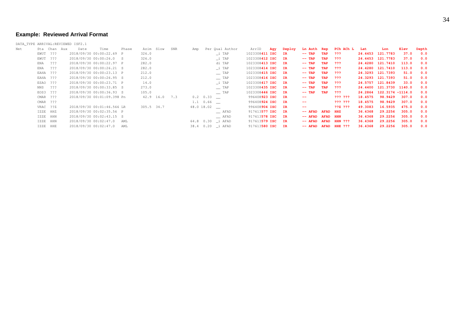#### **Example: Reviewed Arrival Format**

DATA\_TYPE ARRIVAL:REVIEWED ISF2.1

| Net | Sta | Chan Aux | Date | Time                       | Phase | Azim       | Slow | SNR | Amp       | Per Qual Author            | ArrID             | Agy | Deploy | Ln Auth Rep  |                 | PCh ACh L      | Lat     | Lon                      | Elev  | Depth |
|-----|-----|----------|------|----------------------------|-------|------------|------|-----|-----------|----------------------------|-------------------|-----|--------|--------------|-----------------|----------------|---------|--------------------------|-------|-------|
|     |     | EWUT ??? |      | 2018/09/30 00:00:22.69 P   |       | 326.0      |      |     |           | _i TAP                     | 1023308411 ISC IR |     |        | $--$ TAP     | TAP             | - ? ? ?        |         | 24.4453 121.7783         | 37.0  | 0.0   |
|     |     | EWUT ??? |      | 2018/09/30 00:00:26.0 S    |       | 326.0      |      |     |           | i TAP                      | 1023308412 ISC IR |     |        | $--$ TAP     | TAP             | - ? ? ?        |         | 24.4453 121.7783         | 37.0  | 0.0   |
|     | ENA | - ???    |      | 2018/09/30 00:00:22.97 P   |       | 282.0      |      |     |           | di TAP                     | 1023308413 ISC IR |     |        | $--$ TAP     | TAP             | - ? ? ?        |         | 24.4280 121.7410         | 113.0 | 0.0   |
|     | ENA | ???      |      | 2018/09/30 00:00:26.21 S   |       | 282.0      |      |     |           | i TAP                      | 1023308414 ISC IR |     |        | $--$ TAP     | TAP             | - ? ? ?        |         | 24.4280 121.7410         | 113.0 | 0.0   |
|     |     | EAHA ??? |      | 2018/09/30 00:00:23.13 P   |       | 212.0      |      |     |           | $\equiv$ TAP               | 1023308415 ISC IR |     |        | $--$ TAP     | TAP             | - ? ? ?        |         | 24.3293 121.7393         | 51.0  | 0.0   |
|     |     | EAHA ??? |      | 2018/09/30 00:00:26.95 S   |       | 212.0      |      |     |           | $\equiv$ TAP               | 1023308416 ISC IR |     |        | $--$ TAP     | TAP             | - ? ? ?        |         | 24.3293 121.7393         | 51.0  | 0.0   |
|     |     | ESAO ??? |      | 2018/09/30 00:00:23.71 P   |       | 14.0       |      |     |           | _i TAP                     | 1023308417 ISC IR |     |        | $--$ TAP     | TAP             | - ? ? ?        |         | 24.5757 121.8439         | 33.0  | 0.0   |
|     | NNS | ???      |      | 2018/09/30 00:00:33.85 S   |       | 273.0      |      |     |           | $\equiv$ TAP               | 1023308435 ISC IR |     |        | $--$ TAP     | TAP             | - ? ? ?        |         | 24.4400 121.3730 1140.0  |       | 0.0   |
|     |     | EOS3 ??? |      | 2018/09/30 00:00:36.93 S   |       | 105.0      |      |     |           | $\equiv$ TAP               | 1023308446 ISC IR |     |        | $--$ TAP     | TAP             | - ? ? ?        |         | 24.2864 122.3174 -1114.0 |       | 0.0   |
|     |     | CMAR ??? |      | 2018/09/30 00:01:09.398 Pn |       | 42.9 16.0  |      | 7.3 |           | $0.2 \quad 0.33$           | 996408923 ISC IR  |     |        | --           |                 | ??? ???        | 18.4575 | 98.9429                  | 307.0 | 0.0   |
|     |     | CMAR ??? |      |                            |       |            |      |     |           | $1.1 \t0.66$ $\phantom{0}$ | 996408924 ISC IR  |     |        | $- -$        |                 | 222 222        | 18.4575 | 98.9429                  | 307.0 | 0.0   |
|     |     | VRAC ??Z |      | 2018/09/30 00:01:46.566 LR |       | 305.5 34.7 |      |     |           | $48.0$ 18.02 $\_\_$        | 996408904 ISC IR  |     |        | --           |                 | <b>??Z ???</b> | 49.3083 | 16.5935                  | 475.0 | 0.0   |
|     |     | IZZE HHZ |      | 2018/09/30 00:02:35.56 P   |       |            |      |     |           | $\equiv$ AFAD              | 917613577 ISC IR  |     |        | $--$ AFAD    | <b>AFAD</b>     | <b>HHZ</b>     | 36.4368 | 29.2256                  | 305.0 | 0.0   |
|     |     | IZZE HHN |      | 2018/09/30 00:02:43.15 S   |       |            |      |     |           | $-$ AFAD                   | 917613578 ISC IR  |     |        | $--$ AFAD    | <b>AFAD HHN</b> |                | 36.4368 | 29.2256                  | 305.0 | 0.0   |
|     |     | IZZE HHN |      | 2018/09/30 00:02:47.0      | AML   |            |      |     | 64.8 0.30 | _i AFAD                    | 917613579 ISC IR  |     |        | $--$ AFAD    | <b>AFAD</b>     | <b>HHN ???</b> | 36.4368 | 29.2256                  | 305.0 | 0.0   |
|     |     | IZZE HHE |      | 2018/09/30 00:02:47.0 AML  |       |            |      |     |           | 38.4 0.20 _i AFAD          | 917613580 ISC IR  |     |        | -- AFAD AFAD |                 | <b>HHE ???</b> | 36.4368 | 29.2256                  | 305.0 | 0.0   |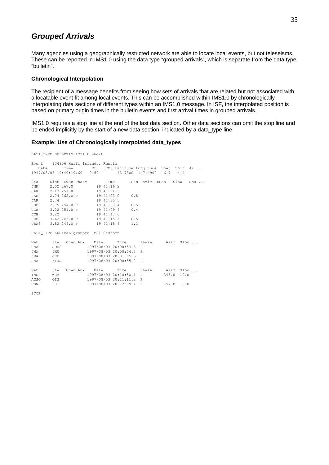### <span id="page-34-0"></span>*Grouped Arrivals*

Many agencies using a geographically restricted network are able to locate local events, but not teleseisms. These can be reported in IMS1.0 using the data type "grouped arrivals", which is separate from the data type "bulletin".

#### **Chronological Interpolation**

The recipient of a message benefits from seeing how sets of arrivals that are related but not associated with a locatable event fit among local events. This can be accomplished within IMS1.0 by chronologically interpolating data sections of different types within an IMS1.0 message. In ISF, the interpolated position is based on primary origin times in the bulletin events and first arrival times in grouped arrivals.

IMS1.0 requires a stop line at the end of the last data section. Other data sections can omit the stop line and be ended implicitly by the start of a new data section, indicated by a data type line.

#### **Example: Use of Chronologically Interpolated data\_types**

DATA\_TYPE BULLETIN IMS1.0:short

Event 934906 Kuril Islands, Russia Date Time Err RMS Latitude Longitude Smaj Smin Az ... 1997/08/03 19:40:19.60 0.50 43.7300 147.4900 6.7 4.4 Sta Dist EvAz Phase Time TRes Azim AzRes Slow SNR ... JNK 2.02 267.0 19:41:16.2 JAK 2.17 251.0 19:41:21.5 JAR 2.74 262.0 P 19:41:03.0 0.8 JAR 2.74 19:41:35.5 JOB 2.79 254.0 P 19:41:03.4 0.5 JCH 3.22 251.0 P 19:41:09.4 0.4 JCH 3.22 19:41:47.0 JCH 3.22 19:41:47.0<br>JEM 3.62 243.0 P 19:41:15.1 0.5<br>URA3 3.82 249.0 P 19:41:18.6 1.1 3.82 249.0 P 19:41:18.6 1.1 DATA\_TYPE ARRIVAL:grouped IMS1.0:short Net Sta Chan Aux Date Time Phase Azim Slow ...<br>JMA JOD2 1997/08/03 20:00:53.3 P لمستند 1997/08/03 20:00:53.3 P<br>1997/08/03 20:00:53.3 P<br>JHU 1997/08/03 20:00:54.3 P JMA JHU 1997/08/03 20:00:54.3 P JMA JHU 1997/08/03 20:01:05.5 JMA KTJJ 1997/08/03 20:00:55.2 P Net Sta Chan Aux Date Time Phase Azim Slow ...

IMS WRA 1997/08/03 20:10:50.1 P 343.0 10.0

CSN BJT 1997/08/03 20:12:09.1 P 157.8 5.8

AGSO QIS 1997/08/03 20:11:11.2 P

STOP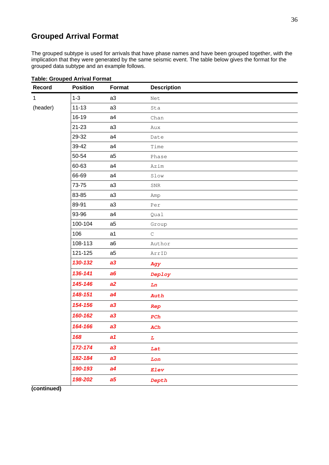### <span id="page-35-0"></span>**Grouped Arrival Format**

The grouped subtype is used for arrivals that have phase names and have been grouped together, with the implication that they were generated by the same seismic event. The table below gives the format for the grouped data subtype and an example follows.

| Record       | <b>Position</b> | <b>Format</b>  | <b>Description</b>   |
|--------------|-----------------|----------------|----------------------|
| $\mathbf{1}$ | $1 - 3$         | a3             | Net                  |
| (header)     | $11 - 13$       | a3             | Sta                  |
|              | 16-19           | a4             | Chan                 |
|              | 21-23           | a3             | Aux                  |
|              | 29-32           | a4             | Date                 |
|              | 39-42           | a4             | Time                 |
|              | 50-54           | a <sub>5</sub> | Phase                |
|              | 60-63           | a4             | Azim                 |
|              | 66-69           | a4             | Slow                 |
|              | 73-75           | a3             | ${\tt SNR}$          |
|              | 83-85           | a3             | Amp                  |
|              | 89-91           | a3             | Per                  |
|              | 93-96           | a4             | Qual                 |
|              | 100-104         | a <sub>5</sub> | Group                |
|              | 106             | a1             | $\mathsf C$          |
|              | 108-113         | a6             | Author               |
|              | 121-125         | a <sub>5</sub> | ArrID                |
|              | 130-132         | a3             | Agy                  |
|              | 136-141         | a6             | Deploy               |
|              | 145-146         | a2             | Ln                   |
|              | 148-151         | a4             | Auth                 |
|              | 154-156         | a3             | Rep                  |
|              | 160-162         | a3             | ${\mbox{{\it PCh}}}$ |
|              | 164-166         | a3             | ACh                  |
|              | 168             | a1             | $L_{\parallel}$      |
|              | 172-174         | a3             | Lat                  |
|              | 182-184         | a3             | Lon                  |
|              | 190-193         | a4             | Elev                 |
|              | 198-202         | a <sub>5</sub> | Depth                |

#### **Table: Grouped Arrival Format**

**(continued)**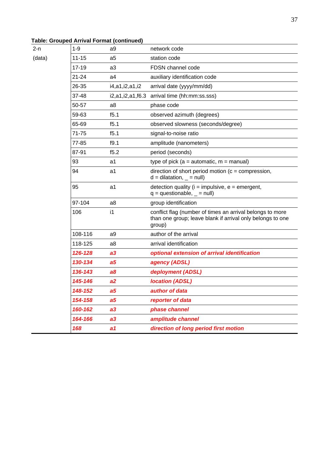### **Table: Grouped Arrival Format (continued)**

| (data) |  |
|--------|--|

| 2-n    | $1-9$     | a9                     | network code                                                                                                                      |
|--------|-----------|------------------------|-----------------------------------------------------------------------------------------------------------------------------------|
| (data) | 11-15     | a <sub>5</sub>         | station code                                                                                                                      |
|        | 17-19     | a3                     | FDSN channel code                                                                                                                 |
|        | $21 - 24$ | a4                     | auxiliary identification code                                                                                                     |
|        | 26-35     | i4,a1,i2,a1,i2         | arrival date (yyyy/mm/dd)                                                                                                         |
|        | $37 - 48$ | i2, a1, i2, a1, f6.3   | arrival time (hh:mm:ss.sss)                                                                                                       |
|        | 50-57     | a <sub>8</sub>         | phase code                                                                                                                        |
|        | 59-63     | f5.1                   | observed azimuth (degrees)                                                                                                        |
|        | 65-69     | f5.1                   | observed slowness (seconds/degree)                                                                                                |
|        | 71-75     | f5.1                   | signal-to-noise ratio                                                                                                             |
|        | 77-85     | f9.1                   | amplitude (nanometers)                                                                                                            |
|        | 87-91     | f5.2                   | period (seconds)                                                                                                                  |
|        | 93        | a1                     | type of pick ( $a =$ automatic, $m =$ manual)                                                                                     |
|        | 94        | a1                     | direction of short period motion ( $c =$ compression,<br>$d = dilatation,$ = null)                                                |
|        | 95        | a1                     | detection quality ( $i =$ impulsive, $e =$ emergent,<br>$q =$ questionable, $=$ null)                                             |
|        | 97-104    | a8                     | group identification                                                                                                              |
|        | 106       | $\mathsf{i}\mathsf{1}$ | conflict flag (number of times an arrival belongs to more<br>than one group; leave blank if arrival only belongs to one<br>group) |
|        | 108-116   | a9                     | author of the arrival                                                                                                             |
|        | 118-125   | a <sub>8</sub>         | arrival identification                                                                                                            |
|        | 126-128   | a3                     | optional extension of arrival identification                                                                                      |
|        | 130-134   | a5                     | agency (ADSL)                                                                                                                     |
|        | 136-143   | a8                     | deployment (ADSL)                                                                                                                 |
|        | 145-146   | a2                     | <b>location (ADSL)</b>                                                                                                            |
|        | 148-152   | a <sub>5</sub>         | author of data                                                                                                                    |
|        | 154-158   | a <sub>5</sub>         | reporter of data                                                                                                                  |
|        | 160-162   | a3                     | phase channel                                                                                                                     |
|        | 164-166   | a3                     | amplitude channel                                                                                                                 |
|        | 168       | a1                     | direction of long period first motion                                                                                             |
|        |           |                        |                                                                                                                                   |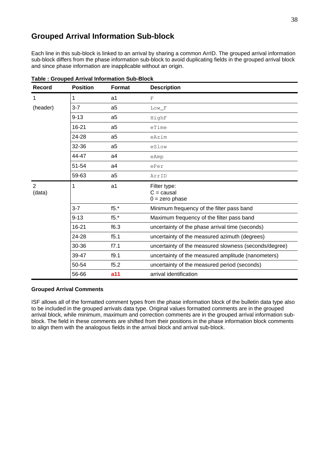### <span id="page-37-0"></span>**Grouped Arrival Information Sub-block**

Each line in this sub-block is linked to an arrival by sharing a common ArrID. The grouped arrival information sub-block differs from the phase information sub-block to avoid duplicating fields in the grouped arrival block and since phase information are inapplicable without an origin.

| Record                   | <b>Position</b> | <b>Format</b>  | <b>Description</b>                                    |
|--------------------------|-----------------|----------------|-------------------------------------------------------|
| $\mathbf{1}$             | $\mathbf{1}$    | a1             | $_{\rm F}$                                            |
| (header)                 | $3 - 7$         | a <sub>5</sub> | Low F                                                 |
|                          | $9 - 13$        | a <sub>5</sub> | HighF                                                 |
|                          | 16-21           | a <sub>5</sub> | eTime                                                 |
|                          | 24-28           | a <sub>5</sub> | eAzim                                                 |
|                          | 32-36           | a <sub>5</sub> | eSlow                                                 |
|                          | 44-47           | a4             | eAmp                                                  |
|                          | 51-54           | a4             | ePer                                                  |
|                          | 59-63           | a <sub>5</sub> | ArrID                                                 |
| $\overline{2}$<br>(data) | $\mathbf{1}$    | a1             | Filter type:<br>$C =$ causal<br>$0 =$ zero phase      |
|                          | $3 - 7$         | $f5.*$         | Minimum frequency of the filter pass band             |
|                          | $9 - 13$        | $f5.*$         | Maximum frequency of the filter pass band             |
|                          | 16-21           | f6.3           | uncertainty of the phase arrival time (seconds)       |
|                          | 24-28           | f5.1           | uncertainty of the measured azimuth (degrees)         |
|                          | 30-36           | f7.1           | uncertainty of the measured slowness (seconds/degree) |
|                          | 39-47           | f9.1           | uncertainty of the measured amplitude (nanometers)    |
|                          | 50-54           | f5.2           | uncertainty of the measured period (seconds)          |
|                          | 56-66           | a11            | arrival identification                                |

**Table : Grouped Arrival Information Sub-Block** 

#### **Grouped Arrival Comments**

ISF allows all of the formatted comment types from the phase information block of the bulletin data type also to be included in the grouped arrivals data type. Original values formatted comments are in the grouped arrival block, while minimum, maximum and correction comments are in the grouped arrival information subblock. The field in these comments are shifted from their positions in the phase information block comments to align them with the analogous fields in the arrival block and arrival sub-block.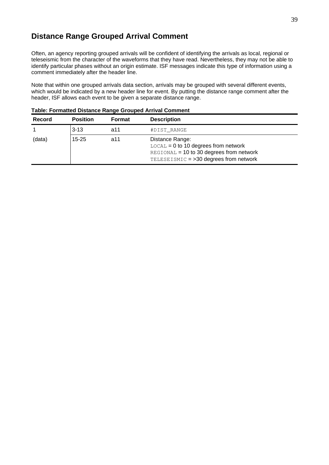### <span id="page-38-0"></span>**Distance Range Grouped Arrival Comment**

Often, an agency reporting grouped arrivals will be confident of identifying the arrivals as local, regional or teleseismic from the character of the waveforms that they have read. Nevertheless, they may not be able to identify particular phases without an origin estimate. ISF messages indicate this type of information using a comment immediately after the header line.

Note that within one grouped arrivals data section, arrivals may be grouped with several different events, which would be indicated by a new header line for event. By putting the distance range comment after the header, ISF allows each event to be given a separate distance range.

| <b>Record</b> | <b>Position</b> | <b>Format</b> | <b>Description</b>                                                                                                                              |  |  |  |  |  |
|---------------|-----------------|---------------|-------------------------------------------------------------------------------------------------------------------------------------------------|--|--|--|--|--|
|               | $3-13$          | a11           | #DIST RANGE                                                                                                                                     |  |  |  |  |  |
| (data)        | $15 - 25$       | a11           | Distance Range:<br>$LOCAL = 0$ to 10 degrees from network<br>REGIONAL = 10 to 30 degrees from network<br>TELESEISMIC = >30 degrees from network |  |  |  |  |  |

**Table: Formatted Distance Range Grouped Arrival Comment**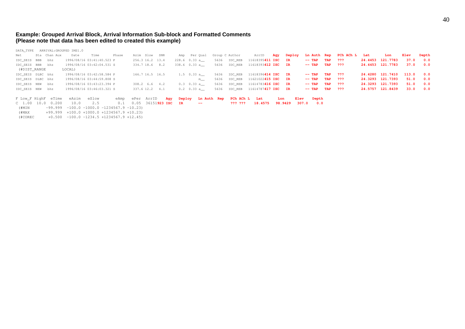#### **Example: Grouped Arrival Block, Arrival Information Sub-block and Formatted Comments (Please note that data has been edited to created this example)**

DATA\_TYPE ARRIVAL:GROUPED IMS1.0 Net Sta Chan Aux Date Time Phase Azim Slow SNR Amp Per Qual Group C Author ArrID **Agy Deploy Ln Auth Rep PCh ACh L Lat Lon Elev Depth** IDC\_SEIS BBB bhz 1996/08/16 03:41:40.523 P 256.3 16.2 13.4 228.6 0.33 a\_\_ 5636 IDC\_REB 11618395**411 ISC IR -- TAP TAP ??? 24.4453 121.7783 37.0 0.0** IDC\_SEIS BBB bhz 1996/08/16 03:42:04.531 S 334.7 18.6 8.2 338.6 0.33 a\_\_ 5636 IDC\_REB 11618393**412 ISC IR -- TAP TAP ??? 24.4453 121.7783 37.0 0.0** (#DIST\_RANGE LOCAL) IDC\_SEIS DLBC bhz 1996/08/16 03:42:58.584 P 166.7 16.5 16.5 1.5 0.33 a\_\_ 5636 IDC\_REB 11618396**414 ISC IR -- TAP TAP ??? 24.4280 121.7410 113.0 0.0** IDC\_SEIS DLBC bhz 1996/08/16 03:44:59.808 S m\_\_ 5636 IDC\_REB 11621022**415 ISC IR -- TAP TAP ??? 24.3293 121.7393 51.0 0.0** IDC\_SEIS NEW bhz 1996/08/16 03:43:23.394 P 308.2 6.6 4.2 0.3 0.33 a\_\_ 5636 IDC\_REB 11614783**416 ISC IR -- TAP TAP ??? 24.3293 121.7393 51.0 0.0** IDC\_SEIS NEW bhz 1996/08/16 03:46:03.321 S 337.6 12.2 4.1 0.2 0.33 a\_\_ 5636 IDC\_REB 11614787**417 ISC IR -- TAP TAP ??? 24.5757 121.8439 33.0 0.0** F Low\_F HighF eTime eAzim eSlow eAmp ePer ArrID **Agy Deploy Ln Auth Rep PCh ACh L Lat Lon Elev Depth** C 1.00 10.0 0.200 10.0 2.5 0.1 0.05 36151**923 ISC IR -- ??? ??? 18.4575 98.9429 307.0 0.0**  $(HMIN$  -99.999 -100.0 -1000.0 -1234567.9 -10.23) (#MAX +99.999 +100.0 +1000.0 +1234567.9 +10.23)  $(\text{\#COREC}$  +0.500 -100.0 -1234.5 +1234567.9 +12.45)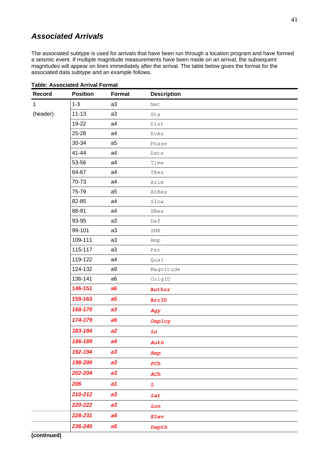### <span id="page-40-0"></span>*Associated Arrivals*

The associated subtype is used for arrivals that have been run through a location program and have formed a seismic event. If multiple magnitude measurements have been made on an arrival, the subsequent magnitudes will appear on lines immediately after the arrival. The table below gives the format for the associated data subtype and an example follows.

| <b>Record</b> | <b>Position</b> | <b>Format</b>  | <b>Description</b> |
|---------------|-----------------|----------------|--------------------|
| $\mathbf 1$   | $1 - 3$         | a3             | Net                |
| (header)      | $11 - 13$       | a3             | Sta                |
|               | 19-22           | a4             | Dist               |
|               | 25-28           | a4             | EvAz               |
|               | 30-34           | a <sub>5</sub> | Phase              |
|               | 41-44           | a4             | Date               |
|               | 53-56           | a4             | Time               |
|               | 64-67           | a4             | TRes               |
|               | 70-73           | a4             | Azim               |
|               | 75-79           | a <sub>5</sub> | AzRes              |
|               | 82-85           | a4             | Slow               |
|               | 88-91           | a4             | SRes               |
|               | 93-95           | a3             | Def                |
|               | 99-101          | a3             | SNR                |
|               | 109-111         | a3             | Amp                |
|               | 115-117         | a3             | Per                |
|               | 119-122         | a4             | Qual               |
|               | 124-132         | a9             | Magnitude          |
|               | 136-141         | a <sub>6</sub> | OrigID             |
|               | 146-151         | a6             | Author             |
|               | 159-163         | a <sub>5</sub> | ArrID              |
|               | 168-170         | a3             | Agy                |
|               | 174-179         | a6             | Deploy             |
|               | 183-184         | a2             | Ln                 |
|               | 186-189         | a4             | Auth               |
|               | 192-194         | a3             | Rep                |
|               | 198-200         | a3             | PCh                |
|               | 202-204         | a3             | ACh                |
|               | 206             | a1             | $\boldsymbol{L}$   |
|               | 210-212         | a3             | Lat                |
|               | 220-222         | a3             | Lon                |
|               | 228-231         | a4             | Elev               |
|               | 236-240         | a <sub>5</sub> | Depth              |

#### **Table: Associated Arrival Format**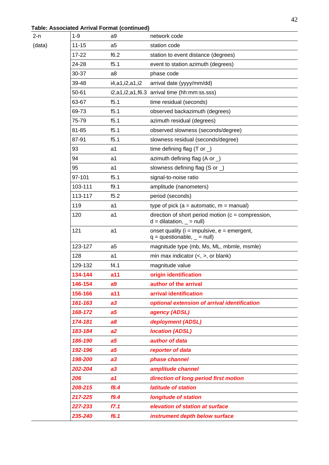### **Table: Associated Arrival Format (continued)**

 $(data)$ 

| 2-n    | $1 - 9$   | a <sub>9</sub> | network code                                                                          |
|--------|-----------|----------------|---------------------------------------------------------------------------------------|
| (data) | $11 - 15$ | a <sub>5</sub> | station code                                                                          |
|        | 17-22     | f6.2           | station to event distance (degrees)                                                   |
|        | 24-28     | f5.1           | event to station azimuth (degrees)                                                    |
|        | 30-37     | a <sub>8</sub> | phase code                                                                            |
|        | 39-48     | i4,a1,i2,a1,i2 | arrival date (yyyy/mm/dd)                                                             |
|        | 50-61     |                | i2,a1,i2,a1,f6.3 arrival time (hh:mm:ss.sss)                                          |
|        | 63-67     | f5.1           | time residual (seconds)                                                               |
|        | 69-73     | f5.1           | observed backazimuth (degrees)                                                        |
|        | 75-79     | f5.1           | azimuth residual (degrees)                                                            |
|        | 81-85     | f5.1           | observed slowness (seconds/degree)                                                    |
|        | 87-91     | f5.1           | slowness residual (seconds/degree)                                                    |
|        | 93        | a1             | time defining flag (T or $\Box$ )                                                     |
|        | 94        | a1             | azimuth defining flag (A or $\Box$ )                                                  |
|        | 95        | a1             | slowness defining flag (S or )                                                        |
|        | 97-101    | f5.1           | signal-to-noise ratio                                                                 |
|        | 103-111   | f9.1           | amplitude (nanometers)                                                                |
|        | 113-117   | f5.2           | period (seconds)                                                                      |
|        | 119       | a1             | type of pick ( $a =$ automatic, $m =$ manual)                                         |
|        | 120       | a1             | direction of short period motion ( $c =$ compression,<br>$d = dilatation, \_ = null)$ |
|        | 121       | a1             | onset quality ( $i =$ impulsive, $e =$ emergent,<br>$q =$ questionable, $=$ null)     |
|        | 123-127   | a <sub>5</sub> | magnitude type (mb, Ms, ML, mbmle, msmle)                                             |
|        | 128       | a1             | min max indicator $(<, >,$ or blank)                                                  |
|        | 129-132   | f4.1           | magnitude value                                                                       |
|        | 134-144   | a11            | origin identification                                                                 |
|        | 146-154   | a <sub>9</sub> | author of the arrival                                                                 |
|        | 156-166   | a11            | arrival identification                                                                |
|        | 161-163   | a3             | optional extension of arrival identification                                          |
|        | 168-172   | a <sub>5</sub> | agency (ADSL)                                                                         |
|        | 174-181   | a8             | deployment (ADSL)                                                                     |
|        | 183-184   | a2             | <b>location (ADSL)</b>                                                                |
|        | 186-190   | a <sub>5</sub> | author of data                                                                        |
|        | 192-196   | a <sub>5</sub> | reporter of data                                                                      |
|        | 198-200   | a3             | phase channel                                                                         |
|        | 202-204   | a3             | amplitude channel                                                                     |
|        | 206       | a1             | direction of long period first motion                                                 |
|        | 208-215   | f8.4           | latitude of station                                                                   |
|        | 217-225   | f9.4           | <b>longitude of station</b>                                                           |
|        | 227-233   | f7.1           | elevation of station at surface                                                       |
|        | 235-240   | f6.1           | instrument depth below surface                                                        |